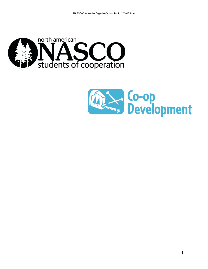

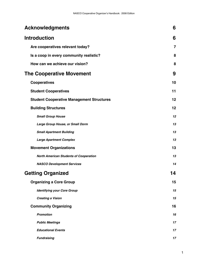| <b>Acknowledgments</b>                           | 6  |
|--------------------------------------------------|----|
| <b>Introduction</b>                              | 6  |
| Are cooperatives relevant today?                 | 7  |
| Is a coop in every community realistic?          | 8  |
| How can we achieve our vision?                   | 8  |
| <b>The Cooperative Movement</b>                  | 9  |
| <b>Cooperatives</b>                              | 10 |
| <b>Student Cooperatives</b>                      | 11 |
| <b>Student Cooperative Management Structures</b> | 12 |
| <b>Building Structures</b>                       | 12 |
| <b>Small Group House</b>                         | 12 |
| Large Group House, or Small Dorm                 | 13 |
| <b>Small Apartment Building</b>                  | 13 |
| <b>Large Apartment Complex</b>                   | 13 |
| <b>Movement Organizations</b>                    | 13 |
| <b>North American Students of Cooperation</b>    | 13 |
| <b>NASCO Development Services</b>                | 14 |
| <b>Getting Organized</b>                         | 14 |
| <b>Organizing a Core Group</b>                   | 15 |
| <b>Identifying your Core Group</b>               | 15 |
| <b>Creating a Vision</b>                         | 15 |
| <b>Community Organizing</b>                      | 16 |
| <b>Promotion</b>                                 | 16 |
| <b>Public Meetings</b>                           | 17 |
| <b>Educational Events</b>                        | 17 |
| <b>Fundraising</b>                               | 17 |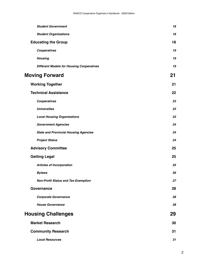| <b>Student Government</b>                        | 18 |
|--------------------------------------------------|----|
| <b>Student Organizations</b>                     | 18 |
| <b>Educating the Group</b>                       | 18 |
| Cooperatives                                     | 19 |
| <b>Housing</b>                                   | 19 |
| <b>Different Models for Housing Cooperatives</b> | 19 |
| <b>Moving Forward</b>                            | 21 |
| <b>Working Together</b>                          | 21 |
| <b>Technical Assistance</b>                      | 22 |
| Cooperatives                                     | 23 |
| <b>Universities</b>                              | 23 |
| <b>Local Housing Organizations</b>               | 23 |
| <b>Government Agencies</b>                       | 24 |
| <b>State and Provincial Housing Agencies</b>     | 24 |
| <b>Project Status</b>                            | 24 |
| <b>Advisory Committee</b>                        | 25 |
| <b>Getting Legal</b>                             | 25 |
| <b>Articles of Incorporation</b>                 | 25 |
| <b>Bylaws</b>                                    | 26 |
| <b>Non-Profit Status and Tax-Exemption</b>       | 27 |
| Governance                                       | 28 |
| <b>Corporate Governance</b>                      | 28 |
| <b>House Governance</b>                          | 28 |
| <b>Housing Challenges</b>                        | 29 |
| <b>Market Research</b>                           | 30 |
| <b>Community Research</b>                        | 31 |
| <b>Local Resources</b>                           | 31 |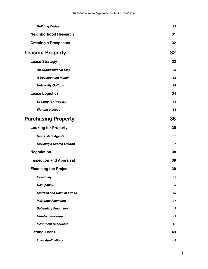| <b>Building Codes</b>            | 31 |
|----------------------------------|----|
| <b>Neighborhood Research</b>     | 31 |
| <b>Creating a Prospectus</b>     | 32 |
| <b>Leasing Property</b>          | 32 |
| <b>Lease Strategy</b>            | 33 |
| An Organizational Step           | 33 |
| <b>A Development Model</b>       | 33 |
| <b>University Options</b>        | 34 |
| <b>Lease Logistics</b>           | 34 |
| <b>Looking for Property</b>      | 34 |
| <b>Signing a Lease</b>           | 34 |
| <b>Purchasing Property</b>       | 36 |
| <b>Looking for Property</b>      | 36 |
| <b>Real Estate Agents</b>        | 37 |
| Devising a Search Method         | 37 |
| <b>Negotiation</b>               | 38 |
| <b>Inspection and Appraisal</b>  | 39 |
| <b>Financing the Project</b>     | 39 |
| Feasibility                      | 39 |
| <b>Occupancy</b>                 | 39 |
| <b>Sources and Uses of Funds</b> | 40 |
| <b>Mortgage Financing</b>        | 41 |
| <b>Subsidiary Financing</b>      | 41 |
| <b>Member Investment</b>         | 42 |
| <b>Movement Resources</b>        | 42 |
| <b>Getting Loans</b>             | 43 |
| <b>Loan Applications</b>         | 43 |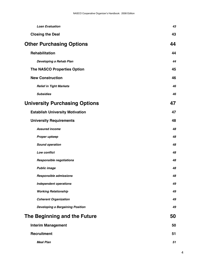| <b>Loan Evaluation</b>                  | 43 |
|-----------------------------------------|----|
| <b>Closing the Deal</b>                 | 43 |
| <b>Other Purchasing Options</b>         | 44 |
| Rehabilitation                          | 44 |
| Developing a Rehab Plan                 | 44 |
| <b>The NASCO Properties Option</b>      | 45 |
| <b>New Construction</b>                 | 46 |
| <b>Relief in Tight Markets</b>          | 46 |
| <b>Subsidies</b>                        | 46 |
| <b>University Purchasing Options</b>    | 47 |
| <b>Establish University Motivation</b>  | 47 |
| <b>University Requirements</b>          | 48 |
| <b>Assured income</b>                   | 48 |
| Proper upkeep                           | 48 |
| Sound operation                         | 48 |
| Low conflict                            | 48 |
| <b>Responsible negotiations</b>         | 48 |
| <b>Public image</b>                     | 48 |
| Responsible admissions                  | 48 |
| <b>Independent operations</b>           | 49 |
| <b>Working Relationship</b>             | 49 |
| <b>Coherent Organization</b>            | 49 |
| <b>Developing a Bargaining Position</b> | 49 |
| The Beginning and the Future            | 50 |
| <b>Interim Management</b>               | 50 |
| <b>Recruitment</b>                      | 51 |
| <b>Meal Plan</b>                        | 51 |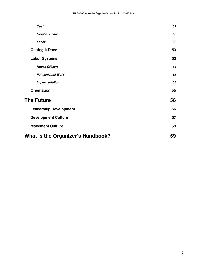| Cost                                     | 51 |
|------------------------------------------|----|
| <b>Member Share</b>                      | 52 |
| Labor                                    | 52 |
| <b>Getting it Done</b>                   | 53 |
| <b>Labor Systems</b>                     | 53 |
| <b>House Officers</b>                    | 54 |
| <b>Fundamental Work</b>                  | 55 |
| Implementation                           | 55 |
| <b>Orientation</b>                       | 55 |
| <b>The Future</b>                        | 56 |
| <b>Leadership Development</b>            | 56 |
| <b>Development Culture</b>               | 57 |
| <b>Movement Culture</b>                  | 59 |
| <b>What is the Organizer's Handbook?</b> | 59 |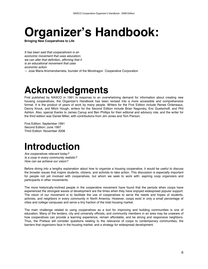# **Organizer"s Handbook:**

**Bringing New Cooperatives to Life**

*It has been said that cooperativism is an economic movement that uses education; we can alter that definition, affirming that it is an educational movement that uses economic action.* 

— Jose Maria Arizmendiarrieta, founder of the Mondragon Cooperative Corporation

# **Acknowledgments**

First published by NASCO in 1991 in response to an overwhelming demand for information about creating new housing cooperatives, the Organizer's Handbook has been revised into a more accessible and comprehensive format. It is the product of years of work by many people. Writers for the First Edition include Renee Ordeneaux, Danny Krouk, and Mitch Hough; writers for the Second Edition include Brian Nagorsky, Eric Guetschoff, and Phil Ashton. Also, special thanks to James Canup and Ben Phillips for their editorial and advisory role; and the writer for the third edition was Daniel Miller, with contributions from Jim Jones and Tom Pierson.

First Edition: September 1991 Second Edition: June 1997 Third Edition: November 2008

# **Introduction**

*Are cooperatives relevant today? Is a coop in every community realistic? How can we achieve our vision?* 

Before diving into a lengthy explanation about how to organize a housing cooperative, it would be useful to discuss the broader issues that inspire students, citizens, and activists to take action. This discussion is especially important for people not yet involved with cooperatives, but whom we seek to work with: aspiring coop organizers and participants in other movements.

The more historically-inclined people in the cooperative movement have found that the periods when coops have experienced the strongest waves of development are the times when they have enjoyed widespread popular support. The vision of our movement is to facilitate the use of cooperatives to serve the needs and hopes of students, activists, and neighbors in every community in North America. However, coops exist in only a small percentage of cities and college campuses and serve a tiny fraction of the total housing market.

The main challenge related to using cooperatives as a tool for improving and building communities is one of education. Many of the lenders, city and university officials, and community members in an area may be unaware of how cooperatives can provide a learning experience, remain affordable, and be strong and responsive neighbors. Thus, the Preface will consider questions relating to the relevance of coops to contemporary communities, the barriers that organizers face in the housing market, and a strategy for widespread development.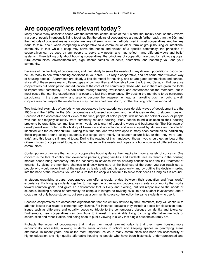### **Are cooperatives relevant today?**

Many people today associate coops with the intentional communities of the 60s and 70s, mainly because they involve a group of people intentionally living together. But the origins of cooperatives are much farther back than the 60s, and the methods of cooperatives as a model are very different from the methods used in most cooperatives. Another key issue to think about when comparing a cooperative to a commune or other form of group housing or intentional community is that while a coop may serve the needs and values of a specific community, the principles of cooperatives can be used by any people to serve any needs, and may reflect many different views and belief systems. Even talking only about housing cooperatives, the principles of cooperation are used by religious groups, rural communities, environmentalists, high income families, students, anarchists, and hopefully you and your community.

Because of the flexibility of cooperatives, and their ability to serve the needs of many different populations, coops can be use today to deal with housing conditions in your area. But why a cooperative, and not some other "flexible" way of housing people? Apartments are clearly a flexible model for housing, and so are gated communities and condos, since all of these serve many different types of communities and flourish all over the US and Canada. But because cooperatives put participation and education at the core of the community, those who live in them are given the tools to impact their community. This can come through training, workshops, and conferences for the members, but in most cases the learning experiences in a coop are just that: experience. By trusting the members to be concerned participants in the community, and also to become the treasurer, or lead a marketing push, or build a wall, cooperatives can inspire the residents in a way that an apartment, dorm, or other housing option never could.

Two historical examples of periods when cooperatives have experienced considerable waves of development are the 1930s and the 1960s. In the 30s, cooperatives addressed economic and racial issues related to student housing. Because of the oppressive social views at the time, people of color, people with unpopular political views, or people who had non-majority sexuality were commonly refused housing. Many people found a solution to their housing problems by organizing communities which would be tolerant of opposing views and backgrounds. The 60s wave of development was rooted in this history of tolerance and acceptance, and was adopted by students and people ho identified with the counter culture. During this time, the idea was developed in many coop communities, particularly those organized around college students, that coops were mainly for counter-culture folks, or that they were "antifrats", and this idea is still around today. During the reading of this handbook, though, you should get an idea of the different types of coops used today, and how they serve the needs and hopes of a huge number of different kinds of communities.

Contemporary organizers that focus on cooperative housing derive their inspiration from a variety of concerns. One concern is the lack of control that low-income persons, young families, and students face as tenants in the housing market: coops bring democracy into the economy to advance livable housing conditions and the fair treatment of tenants. By giving the members chances to directly take care of the business of the coop, you can reach out to people who would never think of themselves as leaders without this opportunity, and by putting the decision-making into the hand of the residents, you can be sure that the coop will continue to serve their needs as long as it is around.

In student organizing groups, cooperatives can offer a crucial bridge between their education and "real world" experience. By bringing students together to manage the organization, cooperatives create a community that works toward common goals, and gives an environment that is lively and exciting, but still responsive to the needs of students. Building a sense of community on campus is integral to reviving civic life and student involvement, and a coop can not only house students, but serve as a community space controlled by the same students who use it.

Because cooperatives are democratic organizations that are entirely defined by their members, they will continue to address issues that relate to contemporary citizens. For instance, because they include a space for discussion about issues such as difference and equality, coops contribute to the contemporary dialogue on identity and tolerance. Furthermore, new cooperatives can contribute to interest in sustainable living by using alternative methods of construction and rehabilitation, and being open to public viewing in a way that single-households rarely are.

Probably the aspect of cooperatives that makes them most relevant today is that they make housing more economically accessible, allowing students easer access to school and keeping spaces in gentrifying areas affordable. In recent years, one of the most important issues in many communities has been the accessibility of higher education and high-quality affordable housing to people who have been historically underrepresented and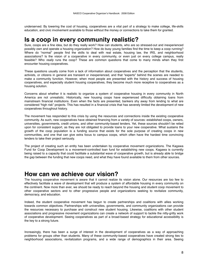underserved. By lowering the cost of housing, cooperatives are a vital part of a strategy to make college, life-skills education, and civic involvement available to those without the money or connections to take them for granted.

### **Is a coop in every community realistic?**

Sure, coops are a fine idea, but do they really work? How can students, who are so stressed-out and inexperienced possibly own and operate a housing organization? How do busy young families find the time to keep a coop running? Where do "normal" people find the skills to deal with real estate, housing law, the IRS, and neighborhood associations? Is the vision of a cooperative in every community, or even just on every college campus, really feasible? Who *really* runs the coop? These are common questions that come to many minds when they first encounter housing cooperatives.

These questions usually come from a lack of information about cooperatives and the perception that the students, activists, or citizens in general are transient or inexperienced, and that "experts" behind the scenes are needed to make a community function. However, when most people are presented with the history and success of housing cooperatives, and especially student housing cooperatives, they become much more receptive to cooperatives as a housing solution.

Concerns about whether it is realistic to organize a system of cooperative housing in every community in North America are not unrealistic. Historically, new housing coops have experienced difficulty obtaining loans from mainstream financial institutions. Even when the facts are presented, bankers shy away from lending to what are considered "high risk" projects. This has resulted in a financial crisis that has severely limited the development of new cooperatives throughout history.

The movement has responded to this crisis by using the resources and connections inside the existing cooperative community. As such, new cooperatives have obtained financing from a variety of sources: established coops, owners, universities, governments, credit unions, and other community-based lenders. Yet, these sources shouldn't be relied upon for consistent support, as they are not obligated to provide loans to your new cooperative. What sustains the growth of the coop population is a funding source that exists for the sole purpose of creating coops in new communities, and one that can give extra focus to campus coops, which often have the hardest time convincing lenders to take their project seriously.

The project of creating such an entity has been undertaken by cooperative movement organizations. The Kagawa Fund for Coop Development is a movement-controlled loan fund for establishing new coops. Kagawa is currently being raised to a capacity that could facilitate a substantial wave of cooperative growth, but is already able to bridge the gap between the funding that new coops need, and what they have found available to them from other sources.

### **How can we achieve our vision?**

The housing cooperative movement is aware that it cannot realize its vision alone. Our resources are too few to effectively facilitate a wave of development that will produce a system of affordable housing in every community on the continent. Now more than ever, we should be ready to reach beyond the housing and student coop movement to other cooperative sectors and to other progressive people and organizations seeking to revitalize community, democracy, and education.

Indeed, the student cooperative movement has begun to create partnerships and coalitions with allies working towards common objectives. Partnerships with universities, governments, and community organizations can provide the resources necessary to purchase and construct new student housing. Likewise, coalitions with other student associations and progressive movement organizations can create a network of support to tackle the nitty-gritty work of cooperative development. Seeing cooperatives as part of a broad-based strategy for educational accessibility is the key to a strong future.

Increasingly, there has been a surge of interest in the development of cooperatives as a way of approaching problems for groups other than students. Many of these community-based cooperatives have created strong ties to neighborhood associations, revitalization programs, and a wide range of demographics in their area. Seeing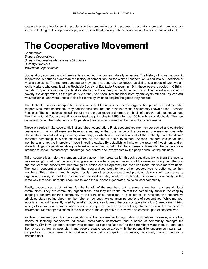cooperatives as a tool for solving problems in the community planning process is becoming more and more important for those looking to develop new coops, and do so without dealing with the concerns of University housing officials.

# **The Cooperative Movement**

*Cooperatives Student Cooperatives Student Cooperative Management Structures Building Structures Movement Organizations* 

Cooperation, economic and otherwise, is something that comes naturally to people. The history of human economic cooperation is perhaps older than the history of competition, as the story of cooperation is tied into our definition of what a society is. The modern cooperative movement is generally recognized as dating to a group of twenty-eight textile workers who organized the Rochdale Society of Equitable Pioneers. In 1844, these weavers pooled 140 British pounds to open a small dry goods store stocked with oatmeal, sugar, butter and flour. Their effort was rooted in poverty and desperation, as the previous year they had been fired and blacklisted by employers after an unsuccessful weavers' strike, and were unable to find fair terms by which to acquire the goods they needed.

The Rochdale Pioneers incorporated several important features of democratic organization previously tried by earlier cooperatives. Most importantly, they codified their features and rules into what is commonly known as the Rochdale Principles. These principles helped strengthen the organization and formed the basis of a growth-oriented movement. The International Cooperative Alliance revised the principles in 1995 after the 150th birthday of Rochdale. The new document, called the Statement on Cooperative Identity is recognized as the basis of any cooperative.

These principles make several distinctions about cooperation. First, cooperatives are member-owned and controlled businesses, in which all members have an equal say in the governance of the business: one member, one vote. Coops stand in contrast to proprietary ownership, in which one person holds all of the authority, and "traditional" corporate ownership, in which bases control on the size of one's investment. Second, cooperatives serve their members, and not the interests of those investing capital. By establishing limits on the return of investment and on share holdings, cooperatives allow profit-seeking investments, but not at the expense of those who the cooperative is intended to serve. Instead coops encourage local control and investments by the people who use the business.

Third, cooperatives help the members actively govern their organization through education, giving them the tools to take meaningful control of the coop. Giving someone a vote on paper makes is not the same as giving them the trust and control of the cooperative, but through education and transparency the coop can make this vote more valuable. The fourth cooperative principle states that cooperatives work to help other cooperatives to better serve their members. This is done through buying goods from other cooperatives and providing development assistance to organizing groups, so that the resources of cooperatives stay inside of the broader cooperative community, in the same way that each individual coop tries to keep the business it generates inside its local community.

Finally, cooperatives exist not just for the benefit of the members but to serve, strengthen, and sustain local communities. They are community organizations, and they return the interest the community show in the coop by keeping a concern for their community at the front of all decisions. It is of interest to note that the cooperative principles state nothing about member labor or low cost, two common perceptions of cooperatives. While member labor is a method frequently used by smaller cooperatives to keep the costs of operations low (thereby maximizing savings to members), member labor is not a principle or even an overwhelming characteristic of the cooperative movement. Member participation in the business of the cooperative is, however, an essential part of cooperatives.

Involving membership in the daily operations of the cooperative through labor contributions, however, is another means of fostering cooperative education, participatory democracy, and a sense of community amongst the members. Similarly, although cooperatives operate as close to "at cost" as their members want them to, and keep their prices as low as possible, many people equate cooperatives with the potential to under-price mainstream competitors. In many cases, it is possible to price below competing businesses, particularly through the use of member labor.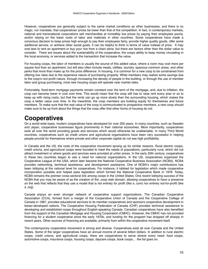However, cooperatives are generally subject to the same market conditions as other businesses, and there is no magic, nor mandate, that cooperatives' prices be lower than that of the competition. In fact, in contemporary markets, national and transnational corporations sell merchandise at incredibly low prices by paying their employees poorly, and/or relying on the lower costs of labor and materials in other countries. Some cooperatives have made a conscious decision to keep prices high enough to pay their employees fairly, provide higher quality goods, offer some additional service, or achieve other social goals. it can be helpful to think in terms of value instead of price. It may cost less to rent an apartment or buy your rice from a chain store, but there are factors other than the dollar value to consider. There are issues about the sustainability of the cooperative, the coops ability to keep money circulating in the local economy, or services added to the transaction that increase the value.

For housing coops, the labor of members is usually the source of this added value, where a room may cost more per square foot than an apartment, but will also often include meals, utilities, laundry, spacious common areas, and other perks that more than make up for the price difference. In housing, it is common for a new coop to be constrained from offering low rates due to the expensive nature of purchasing property. While members may realize some savings due to the coop's non-profit nature, through increasing the density of people in the building, or through the use of member labor and group purchasing, most new housing coops will operate near market rates.

Fortunately, fixed-term mortgage payments remain constant over the term of the mortgage, and, due to inflation, the coop can become lower in cost over time. This would mean that the coop still has to raise rent every year or so to keep up with rising costs, but that the rents can go up more slowly than the surrounding housing, which makes the coop a better value over time. In the meantime, the coop members are building equity for themselves and future members. To make sure that the real value of the coop is communicated to prospective members, a new coop should make sure to be up front about the things that the coop offer that other forms of housing do not.

## **Cooperatives**

On a world-wide basis, modern cooperatives have developed for over 200 years. In many countries, such as Sweden and Japan, cooperative businesses figure prominently in their national economies. More importantly, cooperatives exist all over the world providing goods and services which would otherwise be unattainable. In many Third World countries, cooperatives such as credit unions and agricultural organizations have been very successful in helping people provide for themselves where private and other corporate capital do not see high profitability.

In Canada and the US, the roots of the cooperative movement sprang up for similar reasons. Rural electric coops, credit unions, and agricultural coops were founded to meet the needs of populations, particularly rural, which did not attract investment or where goods and services were provided at unfair prices. In the early 20th century, cooperatives in these two countries began to see a need for national organizations. In the US, cooperatives organized the Cooperative League of the USA, which later became the National Cooperative Business Association (NCBA). NCBA provides networking, technical assistance, and development assistance. One of NCBA's major contributions has been lobbying at the national level for cooperatives. For instance, it lobbied for legislation which made cooperative incorporation possible and helped pass legislation which formed the National Cooperative Bank in 1978. Today, NCBA remains the premier cross-sectoral link among coops in the United States. One recent lobbying success of the NCBA that you may be aware of as the creation of the .coop web domain, allowing cooperatives to have a presence on the web that reflects that they use a model that is not entirely for profit (like a .com) nor entirely not-for-profit (like a .org).

Canada enjoys an even stronger network of cooperative support organizations. The Canadian Cooperative Association (CCA), formed from a merger of the Cooperative Union of Canada and the Cooperative College of Canada in 1987, provides educational services to its member cooperatives and sponsors cooperative development in lesser-developed nations. The Cooperative Housing Federation of Canada (CHF) provides technical assistance to developing and established coops throughout English-speaking Canada. Canadian cooperatives have also benefited from the support of the Canadian Mortgage and Housing Corporation (CMHC). However, the CMHC has not provided financing for a student cooperative since the early 1970s, and funding for the program has dropped off sharply in recent years. Other sources of financing are available, primarily from within the cooperative movement itself.

The contemporary cooperative movement is strong and diverse. Cooperatives exist all over Canada and the United States. Some of the larger cooperatives have an annual income of several billion dollars. In addition to rural electric coops, credit unions, and agricultural coops, there are cooperatives to serve almost every need: food coops, automotive coops, insurance coops, housing coops, daycare coops, book coops... the list goes on.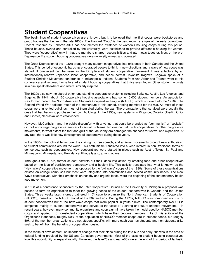## **Student Cooperatives**

The beginnings of student cooperatives are unknown, but it is believed that the first coops were bookstores and group houses that began in the late 1800s. The Harvard "Coop" is the best known example of the early bookstores. Recent research by Deborah Altus has documented the existence of women's housing coops during this period. These houses, owned and controlled by the university, were established to provide affordable housing for women. They were "cooperative" only in that the members shared responsibilities and ate meals together. Most of the pre-Depression Era student housing cooperatives were university owned and operated.

The Great Depression of the 1930's brought many student cooperatives into existence in both Canada and the United States. This period of economic hardship encouraged people to think in new directions and a wave of new coops was started. If one event can be seen as the birthplace of student cooperative movement it was a lecture by an internationally-renown Japanese labor, cooperative, and peace activist, Toyohiko Kagawa. Kagawa spoke at a Student Christian Movement conference in Indianapolis, Indiana. Students from Ann Arbor and Toronto went to this conference and returned home to start student housing cooperatives that thrive even today. Other student activists saw him speak elsewhere and where similarly inspired.

The 1930s also saw the start of other long standing cooperative systems including Berkeley, Austin, Los Angeles, and Eugene. By 1941, about 150 cooperative housing associations had some 10,000 student members. An association was formed called, the North American Students Cooperative League (NASCL), which survived into the 1950s. The Second World War deflated much of the momentum of this period, drafting members for the war. As most of these coops were in rented buildings, most of them died during the war. The organizations that survived were usually the ones that had begun to purchase their own buildings. In the 1950s, new systems in Kingston, Ontario; Oberlin, Ohio; and Lincoln, Nebraska were established.

However, McCarthyism and the public discomfort with anything that could be branded as "communist" or "socialist" did not encourage progressive answers to social problems. No one can tell, with cooperatives or other progressive movements, to what extent the fear and guilt of the McCarthy era damaged the chances for revival and expansion. At any rate, there was little new development of cooperatives during these years.

In the 1960s, the political fervor over the civil rights, free speech, and anti-war movements brought new enthusiasm to student communities around the world. This enthusiasm translated into a keen interest in non- traditional forms of democracy, such as cooperatives. New cooperatives were started in places such as Austin, Texas; St. Paul and Minneapolis, Minnesota; and Providence, Rhode Island, among others.

Throughout the 1970s, former student activists put their ideas into action by creating food and other cooperatives based on the idea of participatory democracy and a healthy life. This activity translated into what is known as the "New Wave" cooperative movement, as opposed to the "old wave" coops of the 1930s. Some of these organizations existed on college campuses but most were integrated into communities and served community needs. The New Wave cooperatives, with their emphasis on healthy and organic foods, were the beginning of the contemporary health food movement.

In 1968 at a conference sponsored by the Inter-Cooperative Council at the University of Michigan a proposal was passed to form an organization to meet the growing needs of the student cooperatives in Canada and the United States. Three weeks later, a group gathered in Chicago to organize the North American Students of Cooperation (NASCO), based on the NASCL model of the 30s and 40s. During the 1970s, NASCO was composed not just of student cooperatives but of the new wave coops that were popular in youth circles. The contemporary NASCO is composed mainly of student cooperatives and serves as the voice of a strong and future-oriented movement. In recent years, however, many community organizers and coop alumni have taken the model used by NASCO member coops and applied it to non-student cooperatives, which have then become members. As of this edition of the Organizer's Handbook, roughly 90% of the population of NASCO member coops are in student coops, but roughly 50% of the member organizations are not student specific, with more each year, as students and non-students alike seek to benefit from the benefits of cooperative housing.

In the realm of development, an important change that took place during the late-60s and early-70s was in the area of federal funding provided by the US and Canadian governments. Most of the existing student housing cooperatives took this opportunity to expand rapidly. However, the late-70s and early-80s were the end of this period of fantastic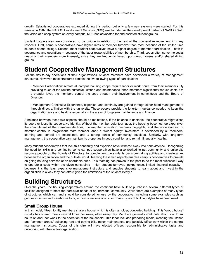growth. Established cooperatives expanded during this period, but only a few new systems were started. For this reason, in 1987, the NASCO Development Services (NDS) was founded as the development partner of NASCO. With the vision of a coop system on every campus, NDS has advocated for and assisted student groups.

Student cooperatives are considered to be unique in relation to the rest of the cooperative movement in many respects. First, campus cooperatives have higher rates of member turnover than most because of the limited time students attend college. Second, most student cooperatives have a higher degree of member participation —both in governance and operations— because of the labor responsibilities of membership. Third, coops often serve the social needs of their members more intensely, since they are frequently based upon group houses and/or shared dining groups.

## **Student Cooperative Management Structures**

For the day-to-day operations of their organizations, student members have developed a variety of management structures. However, most structures contain the two following types of participation:

• Member Participation: Almost all campus housing coops require labor or work hours from their members. By providing much of the routine custodial, kitchen and maintenance labor, members significantly reduce costs. On a broader level, the members control the coop through their involvement in committees and the Board of Directors.

• Management Continuity: Experience, expertise, and continuity are gained through either hired management or through direct affiliation with the university. These people provide the long-term guidance needed to keep the organization alive and healthy, especially in the areas of long-term maintenance and finance.

A balance between these two aspects should be maintained. If the balance is unstable, the cooperative might close its doors or loose its cooperative identity. Without the member volunteer labor, the housing becomes too expensive, the commitment of the members declines, the member education becomes negligible, and the understanding of member control is insignificant. With member labor, a "sweat equity" investment is developed by all members, learning and control are maintained, and a strong sense of community develops. Similarly, with long-term management, the cooperative can maintain its properties in good condition and remain financially healthy.

Many student cooperatives that lack this continuity and expertise have withered away into nonexistence. Recognizing the need for skills and continuity, some campus cooperatives have also worked to put community and university resource people on the Boards of Directors, to complement the students decision-making abilities and create a link between the organization and the outside world. Teaming these two aspects enables campus cooperatives to provide on-going housing services at an affordable price. This teaming has proven in the past to be the most successful way to operate a coop within the given constraints —high student turnover, inexperience, limited financial capacitybecause it is the least expensive management structure and enables students to learn about and invest in the organization in a way they can afford given the limitations of the student lifestyle.

## **Building Structures**

Over the years, the housing cooperatives around the continent have built or purchased several different types of facilities designed to meet the particular needs of an individual community. While there are examples of many types of structures which can and should be considered for use by the cooperative, including some examples such as geodesic domes and warehouse lofts, in most situations one of four basic types of building styles have been used.

#### **Small Group House**

In this model, fifteen to fifty members share a house, which is often an older, converted building. This "group house" usually has shared meals several times per week, often every day. Members generally contribute about four to six hours of labor per week to the operation of the household. This labor includes preparing meals, cleaning the kitchen and "common areas," collecting rent and paying bills, minor maintenance, and possibly office work within the central management structure. Coops of this size will have elected officers responsible for administrative tasks and networking with the central organization.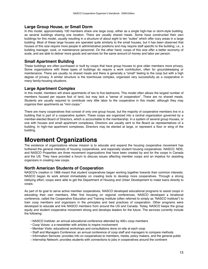#### **Large Group House, or Small Dorm**

In this model, approximately 100 members share one large coop, either as a single high-rise or dorm-style building, as several buildings sharing one location. There are usually shared meals. Some have constructed their own buildings for this model, usually resulting in a structure of about eight to ten "suites" which offer cozy areas in a large building. Most of these large houses are operated quite similarly to the small houses, but it has been observed that houses of this size require more people in administrative positions and may require staff specific to the building; i.e., a building manager, cook, or maintenance personnel. On the other hand, coops of this size offer a better economy of scale, and are able to deliver more goods and services for the same amount of money and labor per person.

#### **Small Apartment Building**

These buildings are often purchased or built by coops that have group houses to give older members more privacy. Some organizations with these types of buildings do require a work contribution, often for groundskeeping or maintenance. There are usually no shared meals and there is generally a "small" feeling to the coop but with a high degree of privacy. A similar structure is the townhouse complex, organized very successfully as a cooperative in many family-housing situations.

#### **Large Apartment Complex**

In this model, members will share apartments of two to five bedrooms. This model often allows the largest number of members housed per square foot of land, but may lack a "sense of cooperation". There are no shared meals. Students are usually required to contribute very little labor to the cooperative in this model, although they may organize their apartments as "mini coops."

There are many cooperatives that consist of only one group house, but the majority of cooperative members live in a building that is part of a cooperative system. These coops are organized into a central organization governed by a member-elected Board of Directors, which is accountable to the membership. In a system of several group houses, or one with houses and small apartment complexes, Directors are usually sent to the Board as representatives of a building. In high-rise apartment complexes, Directors may be elected at large, or represent a floor or wing of the building.

### **Movement Organizations**

The existence of organizations whose mission is to educate and expand the housing cooperative movement has furthered the general interests of housing cooperatives, and especially student housing cooperatives. NASCO, NDS, and NASCO Properties are three movement organizations that have been created by and for the coops in Canada and the US. They have provided a forum to discuss issues affecting member coops and an impetus for assisting organizers in creating new coops.

#### **North American Students of Cooperation**

NASCO's creation in 1968 meant that student cooperatives began working together towards their common interests. NASCO began its work almost immediately on creating tools to develop more cooperatives. Through a strong lobbying effort, coops were able to get the Department of Housing and Urban Development to make loans directly to coops.

As part of its goal to serve active member cooperatives, NASCO developed educational programs to assist coops in educating their own members. After first focusing on regional conferences, NASCO developed a binational conference, called the Cooperative Education and Training Institute (often referred to simply as "NASCO Institute") to train coop members and organizers in the principles and best practices of cooperation. Other programs were developed to educate and link NASCO members from around the US and Canada. Today, NASCO keeps the group equity and student cooperative movement strong and develops leaders for the future. The services currently include the following:

- NASCO Institute: an annual educational conference attended by 400+ coop members
- Coop Voices: a e-newsletter with articles to inspire involvement
- Member Visits: educational workshops and consultations done on-site at each coop
- Staff and Managers Conference: an annual conference of coop staff and managers to compare methods
- Information Services: provides info on cooperatives to members, media, policy makers, and the general public
- Internship Network: provides students with connections to jobs in cooperatives around the continent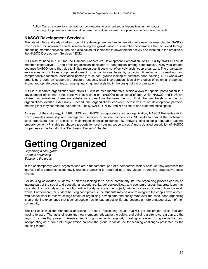- Action Camp: a week long retreat for coop leaders to confront social inequalities in their coops
- Emerging Coop Leaders: an annual conference bridging different coop sectors to compare methods

#### **NASCO Development Services**

The late eighties and early nineties brought the development and implementation of a new business plan for NASCO, which called for increased efforts in maintaining the growth which our member cooperatives had achieved through enhancing member services. The plan also called for increases in development activity and resulted in the creation of the NASCO Development Services (NDS).

NDS was founded in 1987 (as the Campus Cooperative Development Corporation, or CCDC) by NASCO and its member cooperatives. A non-profit organization dedicated to cooperation among cooperatives, NDS was created because NASCO found that, due to limited resources, it could not effectively assist coop organizers. The organization encourages and initiates coop development on a continuous basis by providing financial aid, consulting, and comprehensive technical assistance primarily to student groups looking to establish coop housing. NDS works with organizing groups on cooperative structural aspects, legal incorporation, feasibility studies of potential properties, finding appropriate properties, arranging financing, and assisting in the design of the organization.

NDS is a separate organization from NASCO, with its own membership, which allows for special participation in a development effort that is not perceived as a drain on NASCO's educational efforts. While NASCO and NDS are different organizations, there are substantial connections between the two. First, the memberships in the two organizations overlap extensively. Second, the organizations consider themselves to be development partners, meaning that they coordinate their efforts. Finally, NASCO, NDS, and NP all share one staff and office space.

As a part of their strategy, in 1988, NDS and NASCO incorporated another organization, NASCO Properties (NP), which provides ownership and management services for several cooperatives. NP seeks to combat the problem of coop organizers' lack of access to mainstream financial resources. By showing itself to be a reputable national property owner, NP is able purchase a property for local housing cooperatives. A more detailed description of NASCO Properties can be found in the "Purchasing Property" chapter.

# **Getting Organized**

*Organizing a core group Campus organizing Educating the group*

In the contemporary world, organizations are a fundamental part of a democratic society because they represent the interests of a certain constituency. Likewise, organizing is regarded as a key aspect of creating progressive social change.

For housing advocates, students, or citizens looking for a richer community life, the organizing process can be an integral part of the social and educational experience. Larger sociopolitical, and economic issues that organizers may care about or be studying can function within the dynamics of the project, painting a clearer picture of how the world works. Furthermore, for student housing coop projects, the students may be able to integrate the coop's development with school work to receive college credit for organizing, saving time and sanity. Whatever the case, coop organizing is an enriching experience that teaches people how to lead an active life and become a more engaged citizen of their community.

The first section of the Handbook addresses a host of fascinating issues that will get the project on its feet and moving forward. The tasks of recruiting new members, educating the public, and building a strong core group are the keys to a healthy project. Likewise, mobilizing community support, creating a system of governance, and incorporating as a non-profit organization prepare the group to tackle the forthcoming challenges presented by the housing market.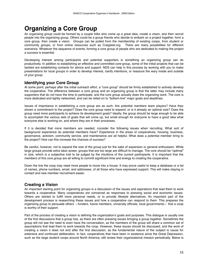## **Organizing a Core Group**

An organizing group could be formed by a couple folks who come up a great idea, create a vision, and then recruit people into the organizing group. Others could be a group friends who decide to embark on a project together, form a core group, then create a vision. Groups can be pulled from the membership of existing coops, from student or community groups, or from online resources such as Craigslist.org. There are many possibilities for different scenarios. Whatever the sequence of events, forming a core group of people who are dedicated to making the project a success is essential.

Developing interest among participants and potential supporters is something an organizing group can do productively. In addition to establishing an effective and committed core-group, some of the initial projects that can be tackled are establishing contacts for advice and support. NDS can help in this process by working with you to make presentations for local groups in order to develop interest, clarify intentions, or reassure the wary inside and outside of your group.

#### **Identifying your Core Group**

At some point, perhaps after the initial outreach effort, a "core group" should be firmly established to actively develop the cooperative. The difference between a core group and an organizing group is that the latter may include many supporters that do not have the time to participate, and the core group actually does the organizing work. The core is more dedicated and tightly networked, and can be relied on to "bottom-line" major goals and deadlines.

Issues of importance in establishing a core group are as such: Are potential members team players? Have they shown a commitment to the project? Does the core group need to expand, or is it already an optimal size? Does the group need more participants to achieve its development goals? Ideally, the group should be large enough to be able to accomplish the various sets of goals that will come up, but small enough for everyone to have a good idea what everyone else is working on, and where they are in their processes.

If it is decided that more members are needed, consider the following issues when recruiting. What sort of background experience do potential members have? Experience in the areas of cooperatives, housing, business, governance, activism, community service, and maintenance are all helpful. What does a potential member bring to the project? How can this increase the chances of success?

Be careful, however, not to expand the size of the group just for the sake of expansion or general enthusiasm. While large groups provide extra labor power, groups that are too large are difficult to manage. The core should be "optimal" in size, which is a subjective trait to be judged by the intuitions of the current participants. It is important that the members of this core group are all willing to commit significant time and energy to creating the cooperative.

Down the line the coop may need more people to move into a house. It may prove useful to keep a database or a list of names, phone numbers, email, and addresses, of all those who have expressed support. This will make staying in contact and new member recruitment easier.

#### **Creating a Vision**

An important starting point for organizing groups is a discussion of the issues and aspirations that lead them to work towards a cooperative. Many cooperatives are conceived as responses to pressing social and economic issues. Others are started to fulfill more personal needs, or to provide lifestyle alternatives. An important part of the development process is researching these issues and how a cooperative can respond to them. This prepares the organizing group to persuade others —funders, future members, university officials, local governments— that a coop is worthy of their support.

Part of the process of creating a vision is defining the organization's goals and purposes. This dialogue is usually one of the first discussions that a group has, as there are often pressing issues bringing a group together. Sometimes the group will not see the need to even have the conversation, as the members of the group will share a common set of assumptions that lead them to work towards the coop. However, these issues should be discussed, and the work of creating a vision it does not end after the first discussion, as the fundamental nature of the subject is cause for extensive and continued deliberation. In fact, cooperatives that have been in existence since the Great Depression, such as the large student coops around North America, still review their organizational mission periodically. Below is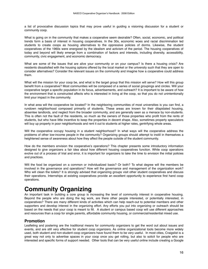a list of provocative discussion topics that may prove useful in guiding a visioning discussion for a student or community coop.

What is going on in the community that makes a cooperative seem desirable? Often, social, economic, and political trends form a basis of interest in housing cooperatives. In the 30s, economic woes and racial discrimination led students to create coops as housing alternatives to the oppressive policies of dorms. Likewise, the student cooperatives of the 1960s were energized by the idealism and activism of the period. The housing cooperatives of today and beyond will likely emerge from a combination of factors and interests, including diversity, accessibility, community, civic engagement, and economic democracy.

What are some of the issues that are alive your community or on your campus? Is there a housing crisis? Are residents dissatisfied with the housing options offered by the local market or the university such that they are open to consider alternatives? Consider the relevant issues on the community and imagine how a cooperative could address them.

What will the mission for your coop be, and what is the target group that this mission will serve? How will this group benefit from a cooperative? Most communities will be composed of a series of social groupings and circles. Will your cooperative target a specific population in its focus, advertisements, and outreach? It is important to be aware of how the environment that is constructed affects who is interested in living at the coop, so that you do not unintentionally limit your impact in the community.

In what area will the cooperative be located? In the neighboring communities of most universities is you can find, a rundown neighborhood composed primarily of students. These areas are known for their dilapidated housing, absentee landlords, and neglect from the broader community, and are generally seen as a menace by non-students. This is often not the fault of the residents, so much as the owners of those properties who profit from the rents of students, but who have little incentive to keep the properties in decent shape. Also, sometimes property speculators will buy up property in poor neighborhoods and rent it out to students at higher rates, gentrifying whole areas.

Will the cooperative occupy housing in a student neighborhood? In what ways will the cooperative address the problems of other low-income people in the community? Organizing groups should attempt to instill in themselves a heightened sense of awareness about how they affect the people outside of the student community.

How do the members envision the cooperative's operations? This chapter presents some introductory information designed to give organizers a fair idea about how different housing cooperatives function. While coop operations evolve out of a process of trial and error, it is important for organizers to take the time to envision the initial policies and practices.

Will the food be organized on a common or individualized basis? Or both? To what degree will the members be involved in the governance and operations? How will the governance and management of the organization work? Who will clean the toilets? It is strongly advised that organizing groups visit other student cooperatives and discuss their operations. Internships at existing cooperatives provide an excellent opportunity to experience first hand coop operations.

## **Community Organizing**

An important task in building a core group is increasing the level of community interest in cooperative housing. Beyond the people who are doing the leg work, are there other people interested, or potentially interested, in cooperatives? There are many different kinds of activities which can help reach-out to potential members and other supporters and develop interest in the organizing effort. Any efforts you put into organizing or outreach should be based on the needs that your coop is meant to fill. A student or campus based coop will use different approaches and resources than a coop for single parents, affordable community housing, or commercial/residential mixed use.

#### **Promotion**

Leafleting and postering are the traditional means for community organizers to get the word out about issues and events, and are still very effective for student coop organizers. As online organizational tools become more widely used, both student and non-student coop organizers have found them to be very useful. In most cities, Craigslist is a great way not only to advertise spaces in your coop once you get rolling, but also to solicit for people who are interested and specific forms of support needed. Other tools that can be very useful online include creating a Google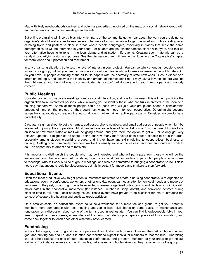Map with likely neighborhoods outlined and potential properties pinpointed on the map, or a social network group with announcements on upcoming meetings and events.

But online organizing will insert a bias into which parts of the community get to hear about the work you are doing, so organizer's should make sure to use several channels of communication to get the word out. Try creating eyecatching flyers and posters to place in areas where people congregate, especially in places that serve the same demographics as will be interested in your coop. For student groups, plaster campus kiosks with flyers, and talk up your alternative housing to folks in the local dorms and at student life events. Creating such materials can be a catalyst for clarifying vision and purpose. See the discussion of recruitment in the "Opening the Cooperative" chapter for more ideas about promotion and recruitment.

In any organizing situation, try to test the level of interest in your project. You can certainly et enough people to work as your core group, but will you need to plan on a core of four people who will raise awareness in the public later? Or do you have 20 people chomping at the bit to file papers with the secretary of state next week. Host a dinner or a forum on the topic, and see what the intensity and amount of interest look like. It may take a few tries before you find the right venue, and the right way to communicate this, so don't get discouraged if you "throw a party and nobody comes."

#### **Public Meetings**

Consider hosting two separate meetings, one for social interaction, and one for business. This will help publicize the organization to all interested persons, while allowing you to identify those who are truly interested in the idea of a housing cooperative. Some of these people could be those who will join your group and spend a considerable amount of time on the project, or they could just want to move into your cooperative. Others might become sympathetic advocates, spreading the word, although not remaining active participants. Consider anyone to be a potential ally.

Circulate a sign-up sheet to get the names, addresses, phone numbers, and email addresses of people who might be interested in joining the cooperative. Most people have some level of "email list burnout", so be careful to give folks an idea of how much traffic or mail will be going around, and give them the option to get out, or to only get very relevant updates. It might also be useful to find out how many more years each person expects to be in the area, especially among student organizing groups, and if they have any skills relating to cooperatives, business, or housing. Getting other community members involved is usually some of the easiest, and most fun, outreach work to do —an opportunity to dream and to motivate.

It is important to distinguish the people who may be interested and who will participate from those who will be the leaders and form the core group. At this stage, organizers should look for leaders: in particular, people who will come to meetings, who will work outside of group meetings, and who are committed to bringing a cooperative to life. This is not to say that anyone should be discouraged, but it is important for movers and shakers to step forward.

#### **Educational Events**

Often the most productive way to get potential members motivated to create a housing cooperative is to organize an educational event. A conference, workshop, or other one day event can focus attention on local needs and models of response. In the past, organizing groups have invited speakers, organized public booths and displays to coincide with major dates in the cooperative movement (for instance, October is Coop Month), and convened debates during election time to talk about local housing issues. These events have proved to be excellent forums to introduce the concept of cooperative housing and publicize group activities.

On a smaller scale, an educational event could be a workshop for a more focused group, to get your potential members more comfortable with local housing and zoning laws, skill-shares on some basics in maintenance and renovation, or a discussion about some of the terms used in real estate. You can find knowledgeable folks in your area to speak on these issues, or members of the group can study up on specific pieces of this information, and come back together to teach each other what they have learned.

#### **Fundraising**

In the initial stages, organizing a student cooperative doesn't take much money. However, the cost of phone minutes, gas, and printing can add-up, and it is often not realistic to expect individual members to foot the bills. Fundraising can also help reduce the cost of coop education conferences, and get more members of your group to get helpful trainings. For instance, events such as film nights, bake sales, and bottle drives can help raise funds for the group.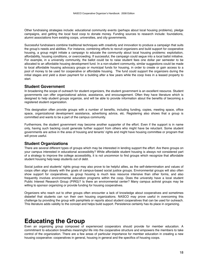Other fundraising strategies include: educational community events (perhaps about local housing problems), pledge campaigns, and getting the local food coop to donate money. Funding sources to research include: foundations, alumni associations from existing coops, universities, and city governments.

Successful fundraisers combine traditional techniques with creativity and innovation to produce a campaign that suits the group's needs and abilities. For instance, combining efforts to recruit organizers and build support for cooperative housing, a group might initiate a campaign to educate the community about local housing problems: exploitation, affordability, housing conditions, or overcrowding. If successful, the campaign could segue into a local ballot initiative. For example, in a university community, the ballot could be to raise student fees one dollar per semester to be allocated to an affordable housing development fund. In a non-student community, similar suggestions could be made to local affordable housing advocacy groups or municipal funds for housing, in order to create or gain access to a pool of money to be used for cooperative or affordable housing. The fund could support the organizers during the initial stages and yield a down payment for a building after a few years while the coop lives in a leased property to start.

#### **Student Government**

In broadening the scope of outreach for student organizers, the student government is an excellent resource. Student governments can offer organizational advice, assistance, and encouragement. Often they have literature which is designed to help student groups organize, and will be able to provide information about the benefits of becoming a registered student organization.

This designation often provide groups with a number of benefits, including funding, copies, meeting space, office space, organizational development assistance, advertising advice, etc. Registering also shows that a group is committed and wants to be a part of the campus community.

Furthermore, the student government may become another supporter of the effort. Even if the support is in name only, having such backing could generate further support from others who might have be reluctant. Some student governments are active in the area of housing and tenants' rights and might have housing committee or program that will prove useful.

#### **Student Organizations**

There are several different types of groups which may be interested in lending support the effort. Are there groups on your campus interested in educational accessibility? While affordable student housing is always not considered part of a strategy to improve the college accessibility, it is not uncommon to find groups which recognize that affordable student housing help keep students out of debt.

Social justice and students' rights group may also prove to be helpful allies, as the self-determination and values of coops often align closely with the goals of campus-based social justice groups. Environmental groups will also often show support for cooperatives, as group housing is much less resource intensive than other forms, and also frequently involves environmental education programs within the coop. Does the university have a local student Public Interest Research Group (PIRG)? Is there an environmental center? Many campus activist groups may be willing to sponsor organizing or provide funding for housing cooperatives.

Organizers who reach out to other groups often encounter a lack of knowledge about cooperatives and sometimes disbelief that students can run their own housing organizations. NASCO may prove useful in overcoming this challenge by providing the group with pamphlets or reports about student cooperatives that can be used for outreach. This literature adds validity to the concept and helps build support. Persistence certainly has its place in organizing.

### **Educating the Group**

Even an organizing group composed of experienced cooperators should provide for member education. A commitment to education breathes meaningful life into the cooperative structure and empowers the members to take control of the organization. There are a few areas of particular importance for member education in creating a new housing cooperative: cooperatives in general, housing in general and the specifics of housing coops.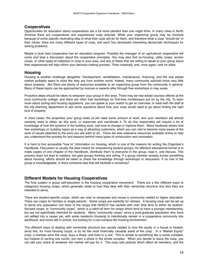#### **Cooperatives**

Opportunities for education about cooperatives are a lot more plentiful than one might think. In many cities in North America there are cooperatives and experienced coop activists. While your organizing group may be involved because of some specific motivating idea of what their coop will do for them, and therefore what a coop "should be" in their minds, there are many different types of coop, and each has developed interesting democratic techniques for solving problems.

Maybe a local food cooperative has an education program. Possibly the manager of an agricultural cooperative will come and lead a discussion about the cooperative principles. You may also find co-housing, utility coops, worker coops, or other types of collective or coop in your area, and any of these that are willing to speak to your group about their experiences will help inform your decision making process. Think creatively, and, once again, look for allies.

#### **Housing**

Housing is another challenge altogether. Development, rehabilitation, maintenance, financing, and the real estate market probably seem to most like they are from another world. Indeed, many community activists know very little about property. But there are plenty of resources available to an organizing group from the community in general. Many of these topics can be approached by novices or experts alike through free workshops in may areas.

Proactive steps should be taken to empower your group in this area. There may be real estate courses offered at the local community college, and there are often free workshops for first-time homebuyers put on by the city. To learn more about zoning and housing regulations, you can speak to your realtor to get an overview, or meet with the staff at the city planning department to ask some questions about how your coop would need to go about finding the right kind of property.

In most cases, the properties your group looks at will need some amount of work, and your members will almost certainly need to either do this work, or supervise and coordinate it. To do this responsibly will require a bit of knowledge of how the systems in the building work, and how to change or improve them. Many hardware stores host free workshops on building topics as a way of attracting customers, which you can visit to become more aware of the sorts of issues attached to the work you will want to do. There are also extensive resources available online to help you understand the process for and reasons behind many types of construction and renovation.

It is hard to find accessible "how to" information on housing, which is one of the reasons for writing the Organizer's Handbook. Discussion is usually the best means for empowering student groups. An effective educational format is to make copies of one chapter of the Handbook, distribute them to everyone in the group, read it, and discuss. This process does not lead to mastery, but gets groups thinking and acting. If a group member already knows something about housing, efforts should be taken to share the knowledge through workshops or discussion. If no one in the group is knowledgeable, is there someone else that will facilitate a workshop?

#### **Different Models for Housing Cooperatives**

The final subject in group self-education is the housing cooperative movement. There are a few different ways to categorize housing coops, which generally relate to how they deal with their ownership structure and who they are intended to serve.

There are student-specific coops, which are near to campuses and house a community related to higher education. There are coops for families or single parents. Some coops are explicitly for retirees. A housing coop can be set up to serve any population, but most of the coops that NASCO has worked with over time tend to either be studentfocused coops, or "community coops", which is a catch-all term for coops which tend to have a younger membership, but are not specifically intended for students. Many "community coops" serve a post-graduate population who have not settled into a career yet, with some residents choosing to intentionally remain in a cooperative community into adulthood, and some still in school, but looking for a non-campus-life housing environment.

The different ways of dealing with ownership structure are usually related to how the equity in a house is treated, since this, for most housing coops, is by far the most financially valuable asset of the coop. In a "Market Equity" coop, a member joins the coop, buys a share, and lives in a unit. This is similar to something like a condo complex, but instead of owning one condo, you own a share in the whole complex. When you decide to leave the coop, you can sell your share at whatever the market will pay for it. The coop sets policies which affect all members, and the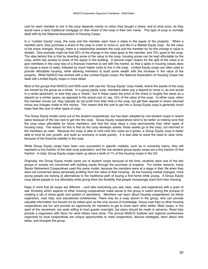cost for each member to live in the coop depends mainly on when they bought a share, and at what price, as they would have a fairly traditional mortgage on their share of the coop in their own name. This type of coop is normally dealt with by the National Association of Housing Coops.

In a "Limited Equity" coop, the coop and the member each have a stake in the equity of the property. When a member joins, they purchase a share in the coop in order to move in, just like in a Market Equity coop. As the value of the share changes, though, there is a relationship between the coop and the member for ho this change in value is divided. One example might be that 25% of the change in the value goes to the member, and 75% goes to the coop. The idea behind this is that by diverting some of the value to the coop, housing prices can be kept affordable by the coop, which has access to some of the equity in the building. A second major reason for the split of the value is to give members in the coop less of a financial incentive to sell with the market, so that a spike in housing values does not cause a wave of sales, followed by much higher costs to live in the coop. Limited Equity coops are often used to provide affordable housing, while allowing members to build some wealth with the increase in the value of the property. While NASCO has worked with a few Limited Equity coops, the National Association of Housing Coops has dealt with Limited Equity coops in more detail.

Most of the groups that NASCO and NDS work with use the "Group Equity" coop model, where the assets of the coop are owned by the group as a whole. In a group equity coop, members either pay a deposit to move in, as one would in a rental apartment, or else they pay a "share", but in these cases the price of the share is roughly the same as a deposit on a similar space, as opposed to the actual cost of, say, 10% of the value of the coop. In either case, when the member moves out, they typically do not profit from their time in the coop, but get their deposit or share returned minus any charges made to this money. This means that the cost to get into a Group Equity coop is generally much lower than the cost of other types of coop.

The Group Equity model came out of the student cooperatives, but has been adopted by non-student coops in recent years because of the low cost to get into the coop. Group Equity cooperatives tend to be better at making sure that the coop stays affordable for future members, and that the coop stays a coop permanently than other types of housing coop. The reason for this is that as the coop develops assets, those assets go to the coop, not returned to the members as cash. Because the coop is able to hold onto this value as it grows, a Group Equity coop is better able to fund its own growth, and build an economy of scale quickly. It is also able to resist the need to raise rents, because of the financial stability in the coop.

While Group Equity coops have been very successful in specific markets, such as in university towns, they still represent a tiny fraction of the total coop population, and the non-student group equity coops are a tiny fraction of that fraction. In total, Group Equity coops make up about a tenth of 1% of the housing coops in the US.

Originally, the Group Equity model came out of student coops because at the time, students were one of the few groups in society not concerned with building equity through the purchase of property. For similar reasons, many Senior Retirement Cooperatives used this same model, because the members were at a stage in their life when they were not concerned about personally profiting from the value of their housing. As the housing market changes, more young people are looking at alternatives to the traditional path of buying a first home while young. A Group Equity coop allows people to live affordably while giving them the flexibility that people increasingly want form their housing.

Keep in mind that all coops are different —and take everything you see, hear, read, and experience with a grain of salt. Knowing which aspects of other housing cooperatives make sense to the group is useful during the process of creating a set of share goals and system of operations. Members can learn about housing cooperatives via fellow organizers, road trips, and educational conferences. There may be a coop alumni in the group, who can provide valuable information but should not be relied upon as the only source of knowledge. Group road trips to other housing cooperatives are fun and provide an opportunity for members to get to know each other better. Most coops, in the spirit of the movement, are quite willing to host guests overnight, but plans should be made in advance. Road trips provide a organizers with flavor for what others have done. The annual NASCO Institute and regional conferences organized by local cooperatives are unique opportunities to meet cooperators, discuss strategies, learn about new ideas, and energize the group.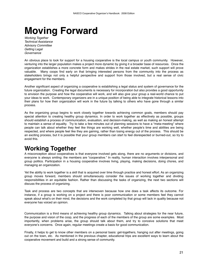# **Moving Forward**

*Working Together Technical Assistance Advisory Committee Getting Legal Governance* 

An obvious place to look for support for a housing cooperative is the local campus or youth community. However, venturing into the larger population makes a project more dynamic by giving it a broader base of resources. Once the organization establishes a more concrete form and makes strides in the real estate market, such support will prove valuable. Many coops find early on that bringing interested persons from the community into the process as stakeholders brings not only a helpful perspective and support from those involved, but a real sense of civic engagement for the members.

Another significant aspect of organizing a cooperative is establishing a legal status and system of governance for the future organization. Creating the legal documents is necessary for incorporation but also provides a good opportunity to envision the purpose and how the cooperative will work, and will also give your group a real-world chance to put your ideas to work. Contemporary organizers are in a unique position of being able to integrate historical lessons into their plans for how their organization will work in the future by talking to others who have gone through a similar process.

As the organizing group begins to work closely together towards achieving common goals, members should pay special attention to creating healthy group dynamics. In order to work together as effectively as possible, groups should establish a process of communication, evaluation, and decision-making, as well as making an honest attempt to maintain a sense of equality. Try to take a few minutes out of planning sessions to have a "meta-meeting" where people can talk about whether they feel like things are working well, whether people's time and abilities are being respected, and where people feel like they are gaining, rather than losing energy out of the process. This should be an exciting process, but it is possible that your group members can start to feel disrespected or burned-out, so try to avoid this.

## **Working Together**

A misconception about cooperatives is that everyone involved gets along, there are no arguments or divisions, and everyone is always smiling: the members are "cooperative." In reality, human interaction involves interpersonal and group politics. Participation in a housing cooperative involves living, playing, making decisions, doing chores, and managing an organization.

Yet the ability to work together is a skill that is acquired over time through practice and honest effort. As an organizing group moves forward, members should simultaneously consider the issues of working together and dividing responsibilities in an equitable fashion. Rather than discussing the tasks of organizing, the next two sections will discuss the process of organizing.

Task and process are two concepts that are interwoven because how one does a task affects its outcome. For instance, if a group is working on a project and there is poor communication or some members feel they cannot speak about what's on their mind, the decisions and the work completed by that group will lack in quality because not everyone has voiced an opinion.

Communication is a third means of achieving healthy group dynamics. Talking about strategies for the near future, the purpose and vision of the coop, and the progress of each of the members of the group are some examples. Most importantly, when problems arise, the group should talk about them, and try to conceive solutions that meet everyone's concerns. Once again, regular meetings create a basis for good communication.

Finally, it helps to get to know other members on a personal basis: get-togethers, hanging out after meetings, going out on the town, etc. As mentioned in the previous chapter, educational trips are excellent ways to learn about the cooperative movement and build and a strong sense of community.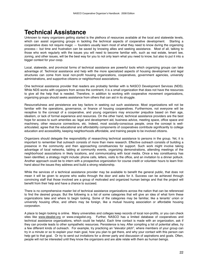## **Technical Assistance**

Unknown to many organizers getting started is the plethora of resources available at the local and statewide levels, which can assist organizing groups in tackling the technical aspects of cooperative development. Starting a cooperative does not require magic — founders usually learn most of what they need to know during the organizing process— but time and frustration can be saved by knowing allies and seeking assistance. Most of all, talking to those who work regularly with the issues you will need to become familiar with, such as real estate, tenant law, zoning, and other issues, will be the best way for you to not only learn what you need to know, but also to put it into a bigger context for your coop.

Local, statewide, and provincial forms of technical assistance are powerful tools which organizing groups can take advantage of. Technical assistance and help with the more specialized aspects of housing development and legal structures can come from local non-profit housing organizations, cooperatives, government agencies, university administrations, and supportive citizens or neighborhood associations.

One technical assistance provider that readers are probably familiar with is NASCO Development Services (NDS). While NDS works with orgaizers from across the continent, it is a small organization that does not have the resources to give all the help that is needed. Therefore, in addition to working with cooperative movement organizations, organizing groups should seeks assistance from others that can aid in its struggle.

Resourcefulness and persistence are key factors in seeking out such assistance. Most organizations will not be familiar with the operations, governance, or finance of housing cooperatives. Furthermore, not everyone will be receptive to the concept of a cooperative, and young organizers may encounter prejudice based on their age, idealism, or lack of formal experience and resources. On the other hand, technical assistance providers are the best hope for access to such amenities as: legal and development aid, business advice, meeting space, office space and machinery, other resource connections, etc. Indeed, most socially-conscious people, once the concept is wellarticulated, agree that the educational and affordability components of cooperatives contribute significantly to college education and accessibility, keeping neighborhoods affordable, and training people to be involved citizens.

Organizers should delegate the responsibility of researching technical assistance to persons in the group. Yet, it is important to remember that outreach consists of more than mere research. Effective outreach consists of building a presence in the community and then approaching constituencies for support. Such work might involve taking advantage of local networks, tabling at community events, organizing demonstrations, attending meetings of the neighborhood associations in likely locations, and communicating with local media. Once a key constituency has been identified, a strategy might include: phone calls, letters, visits to the office, and an invitation to a dinner potluck. Another approach could be to intern with a prospective organization for course credit or volunteer hours to learn firsthand about the issues they address and build a strong relationship.

While the services of a technical assistance provider may be available to benefit the general public, that does not mean it will be given to anyone who walks through the door and asks for it. Success can be achieved through convincing staff that those involved are a group of motivated and organized human beings and that the project will benefit from their help and have a chance to succeed.

There is no comprehensive master list of technical assistance organizations across the nation that can be referenced to find the desired groups. But the following is a list of some categories that will give an idea of what form these organizations take and where to begin looking. Some of the categories may be familiar, like a tenants' union or university housing office, and others may be foreign, like a mutual housing association or affordable housing corporation.

A place to begin looking is online. Many universities and colleges keep records of local non-profits, or you can check sites like www.idealist.org or www.craigslist.org. Further, NASCO has a limited database of cooperatives and technical assistance organizations, which could be helpful. Each time contact is made with an organization, ask if they can provide leads to other sympathetic resources. Persistence is key. After compiling a list of potential allies, try a few different kinds of outreach. For example, try practicing an "elevator pitch", where members of your group can try in a minute or so to explain your main goal, how you plan to get there, and why your contact with this person can help get to that goal. Or try to send out invitations for a dinner party and discussion of aspirations and goals. Often, people will not be interested until they know the organizers and are able relate with them as human beings.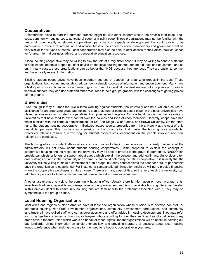#### **Cooperatives**

A comfortable place to start the outreach process might be with other cooperatives in the area: a food coop, book coop, community housing coop, agricultural coop, or a utility coop. These organizations may not be familiar with the needs of group equity or student cooperatives, particularly in aspects of development, but could prove to be enthusiastic providers of information and advice. Most of the concerns about membership and governance will be very similar for all types of coops. Local cooperatives may also be able to offer access to their office facilities, space for forums, informal business advice, and cooperative education resources.

A local housing cooperative may be willing to play the role of a "big sister coop." It may be willing to donate staff time to help inspect potential properties, offer advice on the local housing market, donate old tools and equipment, and so on. In many cases, these organizations can do better than NDS because they are local. They are easier to contact and have locally relevant information.

Existing student cooperatives have been important sources of support for organizing groups in the past. These organizations, both young and established, can be invaluable sources of information and encouragement. Many have a history of providing financing for organizing groups. Even if individual cooperatives are not in a position to provide financial support, they can use staff and other resources to help groups grapple with the challenges of getting project off the ground.

#### **Universities**

Even though it may at times feel like a force working against students, the university can be a valuable source of assistance for an organizing group attempting to start a student or campus-based coop. In the past, universities have played various roles with student cooperatives, both positive and negative. On one hand, history has many stories of universities that have tried to exert control over the policies and lives of coop members. Recently, coops have had major conflicts with the campus administrations of UC San Diego , U of Florida, and Brown University. On the other hand, the student housing cooperative in Berkeley leases several properties from the university at the cost of only one dollar per year. This functions as a subsidy for the organization that makes the housing more affordable. University relations remain a mixed bag for student cooperatives, dependent on the people involved and how relations are conducted.

The housing office or student affairs office are good places to begin communication. It is likely that most of the administrators will not know about student housing cooperatives. Come prepared to explain the concept of cooperative housing and the resources the university may be able to provide to the group. If appropriate, NASCO can provide pamphlets or letters of support about coops which explain the concept and add legitimacy. Universities often own buildings or land in the community or on campus that could potentially benefit a cooperative. It is unlikely that the university will be willing to make a commitment at this stage, but early contact plants the seed for a future partnership once the organization is established. For instance, a sympathetic administration might be willing to provide financing when the cooperative purchases a future house. There are many possibilities. At the very least, the university can add the cooperative to its list of recommended housing to aid in member recruitment.

Another useful place to visit is the community housing office. Usually there is information on local average rents, tenant-landlord laws, reputable and disreputable property managers, and lists of available housing. Because the staff in this division deal with community housing and are familiar with the problems associated with it, they may be sympathetic to the group's cause.

#### **Local Housing Organizations**

Most cities and regions of North America have at least one organization whose mission is to develop non-profit or affordable housing. Non-Profit development organizations, community development corporations, and community land trusts all have skilled staff who can answer questions and offer advice in housing development. They may refer you to sympathetic sources of financing or lawyers who are willing to offer their services free of cost. Also, many areas have a tenants' union which works on behalf of tenant rights. Tenant organizations will be useful in pointing out bad landlords, giving information on landlord-tenant law, and providing literature or statistics about local housing trends to reference when making the case for the need for a housing cooperative in your area.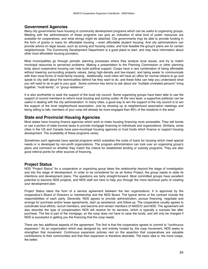#### **Government Agencies**

Many city governments have housing or community development programs which can be useful to organizing groups. Meeting with the administrators of these programs can give an indication of what kind of public resources are available for cooperatives, and what strings might be attached. City governments may be able to provide funding in the form of grants or loans for affordable housing —even affordable student housing. And city administrators can provide advice on legal issues, such as zoning and housing codes, and how feasible the group's plans are for certain neighborhoods. The Community Development Department is a good place to start, and may have information about other local affordable housing providers.

Most municipalities go through periodic planning processes where they analyze local issues, and try to match municipal resources to perceived problems. Making a presentation to the Planning Commission or other planning body about cooperative housing can help build political support. Coops have a rare combination of being affordable without lowering surrounding property values, being high-density and low-impact, and being easier to communicate with than most forms of multi-family housing. Additionally, most cities will have an office for normal citizens to go and speak to city staff about the technicalities behind hat they want to do, and these folks can help you understand what you will need to do to get to your goal. Some common key terms to ask about are "multiple unrelated persons" living together, "multi-family", or "group residence".

It is also worthwhile to seek the support of the local city council. Some organizing groups have been able to use the support of council members to reform local housing and zoning codes. At the very least, a supportive politician can be useful in dealing with the city administration. In many cities, a good way to win the support of the city council is to win the support of the local neighborhood association. Just by showing up at neighborhood association meetings and being willing to talk, members of your coop will already be more engaged than 95% of the residents in the area!

#### **State and Provincial Housing Agencies**

Most states have housing finance agencies which work to make housing financing more accessible. They sell bonds or use a portion of state income taxes to provide mortgage financing to individuals and organizations. Similarly, some cities in the US and Canada have para-municipal housing agencies or trust funds which finance or support housing development. The availability of these programs varies.

Sometimes such agencies have special programs which subsidize the costs of loans for housing which meet special needs or is developed by non-profit organizations. The program administrators can look over an organizing group's plans and comment on whether they match the criteria for established lending or subsidy programs. They are also good referral points for other sources of financing.

#### **Project Status**

NDS "Project Status" for a cooperative or organizing group takes the relationship beyond the stage of investigation and into the stage of development. In order to be considered for as an Active Project, the group needs to state its intentions and development plans. The questions are fairly straight-forward. Most committed groups have excellent potential to become NDS projects, and NDS staff are here to help you through the more technical parts of creating your development plan.

Project Status takes the form of a service agreement between the two organizations. It is approved by the cooperative's Board of Directors or membership and the NDS Board. The typical terms of the contract include the responsibilities of each party. Generally, NDS agrees to provide administration, pursue financing, negotiate and arrange for purchase and/or lease agreements, start up assistance, and follow-up. The cooperative usually agrees to coordinate local efforts, recruit members, and become and remain members of NASCO and NDS. The agreement will also describe the type of compensation NDS will receive for its services, which is typically a success fee after purchase. The fee is part of the mortgage, so the coop does not have to raise the funds, and will only be charged if NDS is successful in getting you the financing that the coop needs.

There are two additional aspects of the agreement. The first is that the cooperative agrees to commit to "continuous expansion." As an organization which was designed by, and entirely funded by, the coop movement, NDS seeks to strengthen that movement. Continuous expansion policies rest on the assertion that cooperatives are valuable contributions to their communities and that their expansion is therefore desirable. The basic idea is: the more coops, the better.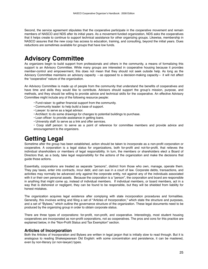Second, the service agreement stipulates that the cooperative participate in the cooperative movement and remain members of NASCO and NDS after its initial years. As a movement-funded organization, NDS asks the cooperatives that it helps create to continue to support technical assistance for other organizing groups. Likewise, membership in NASCO assures that the new coop has access to education, training, and consulting, beyond the initial years. Dues reductions are sometimes available for groups that have low funds.

### **Advisory Committee**

As organizers begin to build support from professionals and others in the community, a means of formalizing this support is an Advisory Committee. While many groups are interested in cooperative housing because it provides member-control and empowerment, this does not mean that they should not seek outside help. As long as the Advisory Committee maintains an advisory capacity —as opposed to a decision-making capacity— it will not affect the "cooperative" nature of the organization.

An Advisory Committee is made up of people from the community that understand the benefits of cooperatives and have time and skills they would like to contribute. Advisors should support the group's mission, purpose, and methods, and they should be willing to provide advice and technical skills for the cooperative. An effective Advisory Committee might include any of the following resource people:

- Fund-raiser: to gather financial support from the community.
- Community leader: to help build a base of support.
- Lawyer: to serve as a legal advisor.
- Architect: to do some drawings for changes to potential buildings to purchase.
- Loan officer: to provide assistance in getting loans.
- University staff: to serve as a link and offer services.

• Coop staff person: to serve as a point of reference for committee members and provide advice and encouragement to the organizers.

## **Getting Legal**

Sometime after the group has been established, action should be taken to incorporate as a non-profit corporation or cooperative. A corporation is a legal status for organizations, both for-profit and not-for-profit, that relieves the individual shareholders or members of legal responsibility. In turn, the members or shareholders elect a Board of Directors that, as a body, take legal responsibility for the actions of the organization and make the decisions that guide those actions.

Essentially, corporations are treated as separate "persons", distinct from those who own, manage, operate them. They pay taxes, enter into contracts, incur debt, and can sue in a court of law. Corporate debts, transactions, and activities may normally be advanced only against the corporate entity, not against any of the individuals associated with it or their own personal assets. Because the corporation is a "person", the corporation and board are responsible in anything that might come up, instead of individual members. If individual members, or board members, act in a way that is dishonest or negligent, they can be found to be responsible, but they will be shielded from liability for honest mistakes.

The organization acquires legal existence after complying with state incorporation procedures and formalities. Generally, this involves writing and filing a set of "Articles of Incorporation," which state the structure and purposes, and a set of "Bylaws," which outline the governance structure of the organization. These legal documents need to be produced by the organizing group in order to obtain corporate status.

There are three types of corporations: for-profit, non-profit, and cooperative. Interestingly, most student housing cooperatives are incorporated as non-profit corporations, not as cooperatives. The pros and cons for this practice are explained below, in the "Non-Profit Status and Tax Exemption" section.

#### **Articles of Incorporation**

Both the Articles of Incorporation and Bylaws are written in legal jargon that is initially slow to read through. But it is analogous to reading Shakespearean Old English: with some concentration and persistence, it can be mastered, even by non-literary (or non-lawyer) types.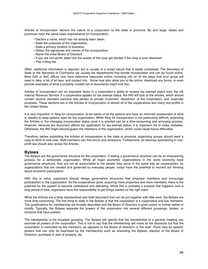Articles of Incorporation declare the nature of a corporation to the state or province. By and large, states and provinces have the same basic requirements for incorporation:

- Declare a name, which has not already been taken.
- State the purposes of the organization.
- State a primary location of business.
- Obtain the signatures and names of the incorporators.
- Name the initial Board of Directors.
- If you are non-profit, state how the assets of the coop get divided if the coop is ever dissolved
- Pay a filing fee.

Often, additional information is required, but is usually of a broad nature that is easily completed. The Secretary of State or the Secretary of Commerce are usually the departments that handle incorporation and can be found online. Most SoS or SoC offices now have extensive resources online, including info on all the steps that your group will need to take, a list of all fees, and contact info. Some may also allow you to file online, download any forms, or even provide examples of what a properly created set of documents might look like.

Articles of Incorporation are an important factor in a corporation's ability to receive tax exempt status from the US Internal Revenue Service. If a cooperative applies for tax exempt status, the IRS will look at the articles, which should contain several standard sections that pertain to private inurement, dissolution of the corporation, and corporate purposes. These sections are in the Articles of Incorporation of almost all of the cooperatives and many non-profits in the United States.

It is very important, in filing for incorporation, to be aware of all the options and have an informed assessment of what is needed to keep options open for the organization. While filing for incorporation is not particularly difficult, amending the Articles or the changing incorporated status once it is granted can be a time-consuming and annoying process. However, because the document affects the application for tax-exempt status, it is important not to make mistakes. Otherwise, the IRS might second-guess the intentions of the organization, which could cause future difficulties.

Therefore, before submitting the Articles of Incorporation to the state or province, organizing groups should send a copy to NDS to look over. Staff members can find errors and omissions. Furthermore, an attorney specializing in nonprofit law should also review the Articles.

#### **Bylaws**

The Bylaws are the governance structure for the corporation. Creating a governance structure can be an empowering process for a democratic organization. While all major economic organizations in the world economy have governance structures, they are not all accountable to the people they serve in the same way as cooperatives. As organizations that are created and governed by everyday people, coops have the potential to reorient our thinking about economic participation.

With this in mind, organizers should design governance structures that empower members and encourage participation in the organization. As the cooperatives grow, acquiring more properties and more members, there is the potential for the system to become centralized and alienating. While this is probably a process that happens over a long period of time, organizers have the responsibility to get things started on the right track.

While the Articles are a fairly standardized and brief document that can be put together with little work, the Bylaws are more time-consuming. The first thing to state in the Bylaws is that the corporation is a cooperative and has members. The qualifications for membership are broadly described and the Board of Directors is given power to further define or modify. Typically, the Bylaws separate the powers of the corporation into several different groupings, bodies, or divisions that have powers.

The membership is the broadest grouping. The Bylaws will specify that the membership at a general meeting can exercise all powers of the corporation. This is not to say that the membership will make all the decisions but that the corporation is controlled by the members, as opposed to the Board of Directors or the staff. There may be specific powers that can only be exercised by the membership such as amending the Bylaws, election of the Board of Directors, purchase or sale of property, etc.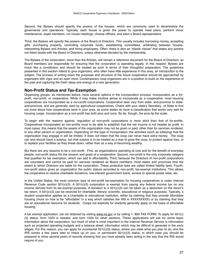Second, the Bylaws should specify the powers of the houses, which are commonly used to decentralize the governance and operations. Typically, each house is given the power to operate meal plans, perform minor maintenance, expel members, run house meetings, choose officers, and elect a Board representative.

Third, the Bylaws will specify the powers of the Board of Directors. This usually includes borrowing money, accepting gifts, purchasing property, controlling corporate funds, establishing committees, arbitrating between houses, interpreting Bylaws and Articles, and hiring employees. Often, there is also an "elastic clause" that states any powers not listed reside with the Board of Directors, unless otherwise decided by the membership.

The Bylaws of the corporation, more than the Articles, will remain a reference document for the Board of Directors, as Board members are responsible for ensuring that the corporation is operating legally. In this respect, Bylaws are much like a constitution and should be treated as such in terms of their thoughtful preparation. The guidelines presented in this section intend to give organizers, who often have little experience in this area, an introduction to the subject. The process of writing down the purposes and structure of the future cooperative should be approached by organizers with vigor and an open mind. Contemporary coop organizers are in a position to build on the experience of the past and capturing the fresh ideas and energy of a new generation.

#### **Non-Profit Status and Tax-Exemption**

Organizing groups, as mentioned before, have several options in the incorporation process: incorporation as a forprofit, non-profit, or cooperative. While it may make intuitive sense to incorporate as a cooperative, most housing cooperatives are incorporated as a non-profit corporations. Cooperative laws vary from state- and-province to stateand-province, and are generally used by agricultural cooperatives. Check with your state's Secretary of State to find out more about how cooperatives work in your area, as some states do have a classification that works very well for housing coops. Incorporation as a non-profit has both pros and cons. By far, though, the pros tip the scale.

To begin with the reasons against, regulation of non-profit corporations is more strict than that of for-profits. Cooperatives incorporated as non-profits must to be able to establish that the net income is not treated as profit. In most cases, this means that the assets of the organization may not be given or paid, other than for services rendered, to any other person or organization. Depending on the type of incorporation, the activities (such as lobbying) that the organization may engage in will be limited. It does *not* mean that the coop can never have extra money. The coop can and should have a surplus, but that surplus is to be treated as a was to grow the coop, to protect against loss, or to replace your facilities as they break down, rather than as a way of becoming wealthy.

But there are any reasons to be a non-profit. First, as organizations operating at cost and for the benefit of everyday people, non-profit status fits the mission and goals of a cooperative. Second, non-profit is the only corporate category that qualifies for tax exemption, which can add to affordability. Third, because the Directors of non-profit corporations are volunteers and cannot be paid for services rendered as Board members, most states and provinces limit the extent to which Directors are liable for the corporation. These protective laws are called limited liability laws. Fourth, non-profit status gives an organization the public stature accorded to non-profit, tax-exempt institutions. This allows the cooperative to receive charitable donations, low-interest government loans, access to special postal rates, etc.

In the United States, the most common type of non-profit tax-exemption for housing cooperatives is under Internal Revenue Code section 501(c)(3). A 501(c)(3) corporation is exempt from paying any federal income tax on any income derived from its tax-exempt purposes. A donation to a  $501(c)(3)$  can be taken as a deduction on the donor's tax return. A 501(c)(3) can be received for charitable, literary, scientific, educational or religious purposes. Typically, a student cooperative applies as a charitable or educational institution, either by claiming that they provide affordable housing (more on how to be "affordable" in a way which satisfies the IRS in XXXXXXXXX) or by claiming that they are an educational resource for students. Coops not explicitly for students generally apply on the basis of affordable housing.

A tax exempt application, can be obtained by visiting www.irs.gov or by calling 1- 800-TAX-FORM. To apply for 501(c) (3) status, form 1023 is needed, and form 1024 for other sections. These applications will ask for some basic information about the corporation, but much of what is most important to the Internal Revenue Service is information such as projected operating budgets and a balance sheet: information which may be difficult to generate in the early stages. For this reason, you can apply for provisional  $501(c)(3)$  status, where you state what you plan to do, and the IRS comes a few years later to check up on you, or permanent 501(c)(3) status, in which case you should be prepared to show several years of records showing that you have already been acting in the way that the IRS would require of you.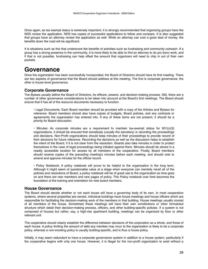Once again, as tax exempt status is extremely important, it is strongly recommended that organizing groups have the NDS review the application. NDS has copies of successful applications to follow and compare. It is also suggested that groups have an attorney review the application as well. While an attorney can cost a good deal of money, the benefits down the road will be significant.

It is situations such as this that underscore the benefits of activities such as fundraising and community outreach. If a group has a strong presence in the community, it is more likely to be able to find an attorney to do pro bono work, and if that is not possible, fundraising can help offset the amount that organizers will need to chip in out of their own pockets.

### **Governance**

Once the organization has been successfully incorporated, the Board of Directors should have its first meeting. There are two aspects of governance that the Board should address at this meeting. The first is corporate governance, the other is house level governance.

#### **Corporate Governance**

The Bylaws usually define the Board of Directors, its officers, powers, and decision-making process. Still, there are a number of other governance considerations to be taken into account at the Board's first meetings. The Board should ensure that it has all of the resource documents necessary to function.

• Legal Documents: Each Board member should be provided with a copy of the Articles and Bylaws for reference. Board members should also have copies of budgets, Board policies, and any contracts or agreements the organization has entered into. If any of these items are not present, it should be a priority for Board discussion.

• Minutes: As corporate minutes are a requirement to maintain tax-exempt status for 501(c)(3) organizations, it should be ensured that somebody (usually the secretary) is recording the proceedings and decisions. Non-Profit organizations should keep minutes of their proceedings to provide record of their decisions for future reference. Recording the decisions as well as the discussion helps to establish the intent of the Board, if it is not clear from the resolution. Boards also take minutes in order to protect themselves in the case of legal proceedings being initiated against them. Minutes should be stored in a readily accessible location for access by all members of the cooperative. Finally, Board members should receive copies of the preceding meeting's minutes before each meeting, and should vote to amend and approve minutes for the official record.

• Policy Notebook: A policy notebook will prove to be helpful to the organization in the long term. Although it might seem of questionable value at a stage when everyone can mentally recall all of the policies and resolutions of Board, a policy notebook will be of great use to the organization as time goes on and there are new members and new pages of policy. This Policy notebook over time becomes the foundation of the training and orientation for new board members.

#### **House Governance**

The Board should decide whether or not each house will have a governing body of its own. In most cooperative systems, where several properties are owned, individual buildings have house meetings and house officers which are responsible for facilitating the decision-making work of the members in that building. House meetings usually consist of all members of the house. Sometimes these meetings will have their own constitutions or other formalized structure which detail their decision-making process, officers, and other building-specific policies. If a system is not composed of houses but rather, say, a high-rise apartment building, meetings can be organized by floor or other relevant unit.

The cooperative should clearly establish the difference between decisions of the corporation as a whole, and those of each house. A policy limiting the amount of debt any member may incur to the organization is likely to be a corporate policy, whereas a non-smoking policy is usually building-specific, and is thus a house policy.

Initially, it may seem redundant to have a corporate governance system in addition to a house system, particularly if the cooperative begins with only one house. However, it is illegal for the non-profit organization to exist without a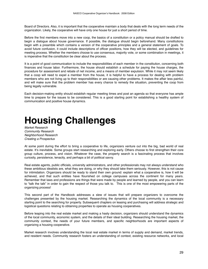Board of Directors. Also, it is important that the cooperative maintain a body that deals with the long term needs of the organization. Likely, the cooperative will have only one house for just a short period of time.

Before the first members move into a new coop, the basics of a constitution or a policy manual should be drafted to begin a dialogue about house governance. If possible, the dialogue should begin beforehand. Many constitutions begin with a preamble which contains a version of the cooperative principles and a general statement of goals. To avoid future confusion, it could include descriptions of officer positions, how they will be elected, and guidelines for meeting process. Whether the members choose to use consensus, majority vote, or some combination in meetings, it is imperative that the constitution be clear about the process.

It is a point of good communication to include the responsibilities of each member in the constitution, concerning both finances and house labor. Furthermore, the house should establish a schedule for paying the house charges, the procedure for assessment and rebate of net income, and a means of member expulsion. While it may not seem likely that a coop will need to expel a member from the house, it is helpful to have a process for dealing with problem members who are not living up to their responsibilities or are causing other problems. It makes the affair less painful, and will make sure that the problem member has every chance to remedy the situation, preventing the coop from being legally vulnerable.

Each decision-making entity should establish regular meeting times and post an agenda so that everyone has ample time to prepare for the issues to be considered. This is a good starting point for establishing a healthy system of communication and positive house dynamics.

# **Housing Challenges**

*Market Research Community Research Neighborhood Research Creating a Prospectus*

At some point during the effort to bring a cooperative to life, organizers venture out into the big, bad world of real estate. It's inevitable. Some groups start researching and exploring early. Others choose to first strengthen their core group culture, process, and vision. Whatever the case, the property search is a fascinating process that involves curiosity, persistence, tenacity, and perhaps a bit of political savvy.

Real estate agents, public officials, university administrators, and other professionals may not always understand who these ambitious idealists are, what they are doing, or why they should take them seriously. However, this is not cause for intimidation. Organizers should be ready to stand their own ground: explain what a cooperative is, how it will be achieved, and that such entities have flourished on college campuses across the continent for many years. Remember that laws and professions are things that were made by people and learned by people, and you can learn to "talk the talk" in order to gain the respect of those you talk to. This is one of the most empowering parts of the organizing process!

This second part of the Handbook addresses a slew of issues that will prepare organizers to overcome the challenges presented by the housing market. Researching the dynamics of the local community is a necessary starting point to the searching for property. Subsequent chapters on leasing and purchasing will address strategic and logistical questions relating to obtaining properties to operate as housing cooperatives.

Before leaping into the real estate market and making a hasty decision, organizers should understand the dynamics of the local community, economic system, and the details of their ideal building. Researching the housing market, the community context, the needs of your future members, and specific neighborhoods are important aspects of organizing a housing cooperative.

Market research involves understanding the local real estate market in terms of supply and demand, market trends, and resident needs. Community research fosters an understanding of context, existing resource networks, and local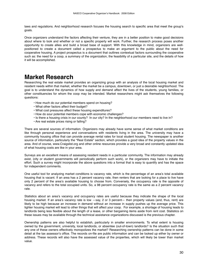laws and regulations. And neighborhood research focuses the housing search to specific area that meet the group's goals.

Once organizers understand the factors affecting their venture, they are in a better position to make good decisions about where to look and whether or not a specific property will work. Further, the research process poses another opportunity to create allies and build a broad base of support. With this knowledge in mind, organizers are wellpositioned to create a document called a prospectus to make an argument to the public about the need for cooperative housing. A project prospectus is a document that outlines contextual factors surrounding the cooperative such as: the need for a coop, a summary of the organization, the feasibility of a particular site, and the details of how it will be accomplished.

## **Market Research**

Researching the real estate market provides an organizing group with an analysis of the local housing market and resident needs within that market, whether the market be a campus, downtown, or just a desirable neighborhood. The goal is to understand the dynamics of how supply and demand affect the lives of the students, young families, or other constituencies for whom the coop may be intended. Market researchers might ask themselves the following questions:

- How much do our potential members spend on housing?
- What other factors affect their budget?
- What cost pressures affect these housing expenditures?
- How do sour potential members cope with economic challenges?
- Is there a housing crisis in our county? In our city? In the neighborhood our members need to live in?
- Are real estate prices rising or falling?

There are several sources of information. Organizers may already have some sense of what market conditions are like through personal experience and conversations with residents living in the area. The university may have a community housing office that can provide average rental rates for local student housing. The newspaper is another source of information, particularly the "Real Estate" section, which provides a good idea of the property values in the area. And of course, www.Craigslist.org and other online resources provide a very broad and constantly updated idea of what housing costs are like in your area.

Surveys are an excellent means of assessing resident needs in a particular community. The information may already exist, (city or student governments will periodically perform such work), or the organizers may have to initiate the effort. Such a survey might incorporate the above questions into a format that is easy to quantify and has the space for independent comments.

One useful tool for analyzing market conditions is vacancy rate, which is the percentage of an area's total available housing that is vacant. If an area has a 2 percent vacancy rate, then renters that are looking for a place to live have only 2 percent of the area's available housing to choose from. Conversely, the occupancy rate is the opposite of vacancy and refers to the total occupied units. So, a 98 percent occupancy rate is the same as a 2 percent vacancy rate.

Statistics about an area's vacancy and occupancy rates are useful because they indicate the shape of the local housing market. If an area's vacancy rate is low  $-$ say, 2 or 3 percent— then property values (and, thus, rent) are likely to be high because an increase in demand without an increase in supply pushes up the average price. This tighter housing market will lead to other things that will affect your coop. For example, a shortage of housing leads to landlords being less flexible about the length of a lease, or other bargaining items aside from rent cost. Statistics on these issues may be available through the technical assistance organizations discussed is the previous chapter.

Ownership patterns are also helpful to establish, particularly in smaller environments. To what extent is housing owned by the government, university, local landlords, or absentee (out-of-town) landlords? Is the situation such that any one of these owners effectively monopolizes the market? Researching ownership patterns can be done in some detail at the tax assessor's office. The records on-file are public information and can be looked up either by owner or address. These records will also have the assessed value of the properties, which will likely be lower than market value.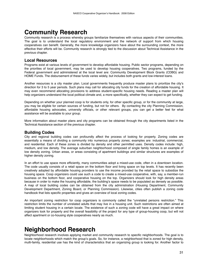## **Community Research**

Community research is a process whereby groups familiarize themselves with various aspects of their communities. The goal is to understand the local regulatory environment and the network of support from which housing cooperatives can benefit. Generally, the more knowledge organizers have about the surrounding context, the more effective their efforts will be. Community research is strongly tied to the discussion about Technical Assistance in the previous chapter.

#### **Local Resources**

Programs exist at various levels of government to develop affordable housing. Public sector programs, depending on the priorities of local government, may be used to develop housing cooperatives. Two programs, funded by the Federal government and administered at the local level are: Community Development Block Grants (CDBG) and HOME Funds. The disbursement of these funds varies widely, but includes both grants and low-interest loans.

Another resources is a city master plan. Local governments frequently produce master plans to prioritize the city's direction for 3 to 5 year periods. Such plans may call for allocating city funds for the creation of affordable housing. It may even recommend allocating provisions to address student-specific housing needs. Reading a master plan will help organizers understand the local political climate and, a more specifically, whether they can expect to get funding.

Depending on whether your planned coop is for students only, for other specific group, or for the community at large, you may be eligible for certain sources of funding, but not for others. By contacting the city Planning Commission, affordable housing advocates, university officials, or other relevant groups, you can get a better feel for what assistance will be available to your group.

More information about master plans and city programs can be obtained through the city departments listed in the Technical Assistance section of the previous chapter.

#### **Building Codes**

City and regional building codes can profoundly affect the process of looking for property. Zoning codes are essentially a means of dividing a community into numerous property zones; examples are: industrial, commercial, and residential. Each of these zones is divided by density and other permitted uses. Density codes include: high, medium, and low density. The average suburban neighborhood composed of single family homes is an example of low density zoning. Urban areas, or areas consisting of apartment buildings and similar structures are examples of higher density zoning.

In an effort to use space more efficiently, many communities adopt a mixed-use code, often in a downtown location. The code usually consists of a retail space on the bottom floor and living space on top levels. It has recently been creatively adopted by affordable housing providers to use the income provided by the retail space to subsidize the housing space. Coop organizers could use such a code to create a mixed-use cooperative, with, say, a member-run business on the bottom floor, and cooperative housing on the top. Organizers should look for high density areas because in order to make the housing affordable, the building's space needs to be populated as densely as possible. A map of local building codes can be obtained from the city administration (Housing Department, Community Development Department, Zoning Board, or Planning Commission). Likewise, cities often publish a zoning code handbook that lists specific properties and gives an overview of local zoning codes.

An important zoning restriction for coop organizers is commonly called the "unrelated persons restriction." This restriction limits the number of unrelated adults that may live in a housing unit. Such restrictions are often aimed at limiting student housing in a certain locale. The existence of such a zoning code will have a great impact on where organizers look for property and the overall feasibility of the project for any type of group-housing coop, but will not affect apartment or co-housing style cooperatives nearly as much.

## **Neighborhood Research**

Neighborhood research involves applying market and community research to specific neighborhoods. The goal is to locate neighborhoods which match the group's goals. So, for instance, a neighborhood that is zoned for high density, multi-family, residential use has the kind of characteristics that an organizing group is looking for. Another factor to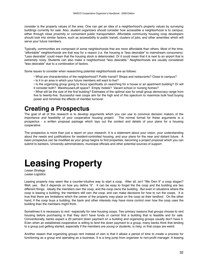consider is the property values of the area. One can get an idea of a neighborhood's property values by surveying buildings currently for sale. Also, student organizers should consider how accessible a neighborhood is to campus; either through close proximity or convenient public transportation. Affordable community housing coop developers should look into similar factors, such as accessibility to public transit, clusters of jobs, and other amenities which will serve your future members.

Typically, communities are composed of some neighborhoods that are more affordable than others. Most of the time, "affordable" neighborhoods are that way for a reason (i.e. the housing is "less desirable" to mainstream consumers). "Less desirable" could mean that the housing stock is deteriorated. Or it could mean that it is next to an airport that is extremely noisy. Students can also make a neighborhood "less desirable." Neighborhoods are usually considered "less desirable" due to a combination of factors.

Some issues to consider when researching potential neighborhoods are as follows:

- What are characteristics of the neighborhood? Public transit? Shops and restaurants? Close to campus?
- Is it in an area in which your future members will want to live?
- Is the organizing group going to focus specifically on searching for a house or an apartment building? Or will it consider both? Warehouse/Loft space? Empty motels? Vacant school or nursing homes?

• What will be the size of the first building? Estimates of the optimal size for small group democracy range from five to twenty-five. Successful new coops aim for the high end of this spectrum to maximize bulk food buying power and minimize the effects of member turnover.

### **Creating a Prospectus**

The goal of all of this research is to develop arguments which you can use to convince decision makers of the importance and feasibility of your cooperative housing project. The normal format for these arguments is a prospectus - a written proposal package which lays out the context and details of your plans for a housing cooperative.

The prospectus is more than just a report on your research. It is a statement about your vision, your understanding about the needs and justifications for resident-controlled housing, and your plans for the near and distant future. A basic prospectus can be modified as your group begins to find properties, becoming a project proposal which you can submit to bankers, University administrators, municipal officials and other potential sources of support.

# **Leasing Property**

*Lease Strategy Lease Logistics* 

Leasing property may seem like a counter-intuitive way to start a coop. After all, isn't "We Own It" a coop slogan? Well, yes. But it depends on how you define "it". It can be easy to forget the the coop and the building are two different things. Ideally the members own the coop, and the coop owns the building. But even in situations where the coop is leasing a building, the members still own *the coop*, and can make decisions for how to run the coops. It is true that there are limitations which the owner of the property may place on the coop as their landlord. On the other hand, if the coop buys a building, the bank and other interests may have more control over how the coop uses the building than the members might think.

Sometimes it is necessary to rent –especially for new housing coops. Two primary reasons that groups choose to rent housing before purchasing is that they don't have funds or cannot find a building that is feasible and for sale. Conventionally, banks expect a 20 percent down payment on a building and organizing groups usually don't have it. Even when an established cooperative is willing to lend the down payment to a group, many banks think that lending to a group just getting started, especially if the members are young or students, is risky, or that coops are weird.

Another reason that organizing groups rent instead of own is that it allows a period of time to create a process for functioning as a group and operating as a business. It is a long jump from organizer to non-profit manager. A leasing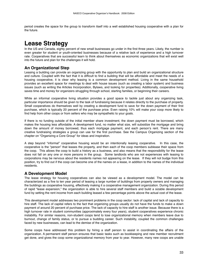period creates the space for the group to transform itself into a well established housing cooperative with a plan for the future.

## **Lease Strategy**

In the US and Canada, eighty percent of new small businesses go under in the first three years. Likely, the number is even greater for student or youth-oriented businesses because of a relative lack of experience and a high turnover rate. Cooperatives that are successful learn to think about themselves as economic organizations that will exist well into the future and plan for the challenges it will hold.

#### **An Organizational Step**

Leasing a building can provide an organizing group with the opportunity to plan and build an organizational structure and culture. Coupled with the fact that it is difficult to find a building that will be affordable and meet the needs of a housing cooperative, it is clear why leasing is a common development method. Living in the same household provides an excellent space for meetings to deal with house issues (such as creating a labor system) and business issues (such as writing the Articles Incorporation, Bylaws, and looking for properties). Additionally, cooperative living saves time and money for organizers struggling through school, starting families, or beginning their careers.

While an informal cooperative living situation provides a good space to tackle just about any organizing task, particular importance should be given to the task of fundraising because it relates directly to the purchase of property. Small cooperatives do themselves well by creating a development fund to save for the down payment of their first purchase, which is typically 20 percent of the purchase price. Even raising 10% will make your coop more likely to find help from other coops or from sellers who may be sympathetic to your goals.

If there is no funding outside of the initial member share investment, the down payment must be borrowed, which makes the housing less affordable. A development fund, no matter what size, will subsidize the mortgage and bring down the amount of money borrowed, thus each mortgage payment, and each person's rent. There are many creative fundraising strategies a group can use for the first purchase. See the Campus Organizing section of the chapter on "Organizing a Core Group" for ideas and inspiration.

A step beyond "informal" cooperative housing would be an intentionally leasing cooperative. In this case, the cooperative is the "person" that leases the property, and then each of the coop members sublease their space from the coop. This allows the coop to build a history as a business, and also means that the responsibility for the lease does not fall on any one or more persons in the group. Some landlords who are not experiences with leasing to corporations may be nervous about the residents names not appearing on the lease. If they will not budge from this position, try to find out if the coop can become one of the names on a lease, in addition to the names of the individual residents.

#### **A Development Model**

The lease strategy for housing cooperatives can also be viewed as a development model. The model can be characterized as a five to ten year period of leasing a large number of buildings from property owners and managing the buildings as cooperative housing, effectively making it a cooperative management organization. During this period of rapid "lease expansion," the organization is able to hire several staff members and build a sizable development fund by setting the rent income from each building leased a few percentage points above the actual cost of the lease.

This development model addresses two prominent problems in the coop sector: lack of capital and lack of capacity to hire staff. The lack of capital refers to the fact that organizing groups usually do not have the funds to make a down payment of around 20 percent of purchase price. The lack of capacity to hire staff is another issue. Because there is a high turnover rate in student communities (approximately every four years), student cooperatives experience chronic instability. For similar reasons, non-student coops tend to lose organizational memory when members leave due to burnout, change of family status, or to pursue a budding career. Such instability, coupled the common challenges faced by new businesses, can lead to the demise of the organization.

Some coops have addressed this problem by hiring a staff person to assist in coordinating the affairs of the organization. A permanent staff person ensures that basic tasks such as bookkeeping and new member recruitment get done, and gives the coop some organizational memory from year to year. However, many new coops are unable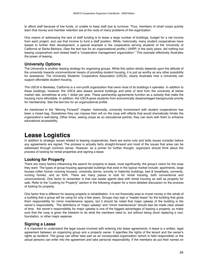to afford staff because of low funds, or unable to keep staff due to turnover. Thus, members of small coops quickly learn that money and member retention are at the roots of many problems of the organization.

One means of addressing the lack of staff funding is to lease a large number of buildings, budget for a net income from each project, and use that income to fund a staff position. While, historically, many student cooperatives have leased to further their development, a special example is the cooperative serving students of the University of California at Santa Barbara. (See the text box for an organizational profile.) UHRP, in the early years, did nothing but leasing cooperatives and viewed itself a "cooperative management organization." This example effectively illustrates the power of leasing.

#### **University Options**

The University is another leasing strategy for organizing groups. While this option wholly depends upon the attitude of the university towards unconventional means of providing student housing, it is just as worthy as any other possibility for assistance. The University Students' Cooperative Association (USCA), clearly illustrates how a University can support affordable student housing.

The USCA in Berkeley, California is a non-profit organization that owns most of its buildings it operates. In addition to these buildings, however, the USCA also leases several buildings and plots of land from the university at below market rate, sometimes at only 1 dollar per year. These partnership agreements function as a subsidy that make the housing more affordable. In addition, the USCA gives students from economically disadvantaged backgrounds priority for membership. See the text box for an organizational profile.

As mentioned in the "Moving Forward" chapter, historically, university involvement with student cooperatives has been a mixed bag. Sometimes they can impose their will on the coop with effects that would dramatically hinder the organization's well-being. Other times, seeing coops as an educational partner, they can work with them to enhance educational accessibility.

## **Lease Logistics**

In addition to strategic issues related to leasing cooperatives, there are some nuts and bolts issues consider before any agreements are signed. The process is actually fairly straight-forward and most of the issues that arise can be addressed through common sense. However, as a primer for further thought, organizers should think about the process of looking for rental properties and signing a lease.

#### **Looking for Property**

There are many factors influencing the search for property to lease, most significantly, the group's vision for the coop they want. The types of group-housing appropriate buildings that exist in the typical market include: apartments, large houses (often former rooming houses), university dorms, sorority or fraternity buildings, bed & breakfasts, convents, nursing homes, and so forth. There are many places to look for rental housing, both conventional and unconventional. One factor to remember is that real estate agents deal with rental housing as well as property for sale. Refer to the "Looking for Property" section in the following chapter for a more detailed discussion on the process of looking for property.

One factor that is different for leasing property is rehabilitation. It is not financially wise to invest money in the rehab of a building that a group will be using for only a few years. Groups may sign a "master-lease" for the building that gives them responsibility for minor maintenance repairs, but it should be noted that major upkeep of the building is the owner's responsibility. The definitions of "major upkeep" and "minor maintenance" should also be made clear ahead of time. the owner's responsibility for major upkeep is one of the biggest advantages of leasing a property, so make sure that the coop is given the freedom to do what the members need to, but without being stuck replacing a roof, foundation, or other major expense.

#### **Signing a Lease**

It is important to understand the legal issues involved with entering into lease agreements. A lease is a written, legal agreement between an organizing group and a property owner. It specifies the rights of the tenant and the owner's rights as landlord. The group can either take part as an incorporated organization (which is held responsible) or the actual persons can enter into the agreement and take personal responsibility. If the members do put their names on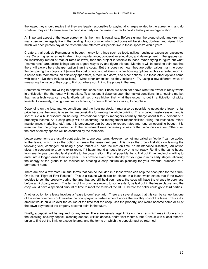the lease, they should realize that they are legally responsible for paying all charges related to the agreement, and do whatever they can to make sure the coop is a party on the lease in order to build a history as an organization.

An important aspect of the lease agreement is the monthly rental rate. Before signing, the group should analyze how many people can legally live in the building. Also, consider which bedrooms will be singles, doubles, and triples. How much will each person pay at the rates that are offered? Will people live in these spaces? Would you?

Create a trial budget. Remember to budget money for things such as food, utilities, business expenses, vacancies (use 5% or higher as an estimate), minor maintenance, cooperative education, and development. If the spaces can be realistically rented at market rates or lower, then the project is feasible to lease. When trying to figure out what "market rents" are, online listings can be a good way to try and figure this out. Members will be quick to point out that there will always be a cheaper option than the coop. But this does not mean they are better values than the coop. Try comparing the coop's rent (minus the cost of food and utilities) to other housing options such as a rented room in a house with roommates, an efficiency apartment, a room in a dorm, and other options. Do these other options come with food? Do they include utilities? What other amenities do they include? Try using a few different ways of measuring the value of the coop to find out where you fit into the prices in the area.

Sometimes owners are willing to negotiate the lease price. Prices are often set above what the owner is really wants in anticipation that the renter will negotiate. To an extent, it depends upon the market conditions. In a housing market that has a high vacancy rate, landlords will set prices higher that what they expect to get in anticipation of picky tenants. Conversely, in a tight market for tenants, owners will not be as willing to negotiate.

Depending on the local market conditions and the housing stock, it may also be possible to negotiate a lower rental price because the group is assuming responsibility for renting the whole building. This is called master-leasing, and is sort of like a bulk discount on housing. Professional property managers normally charge about 6 to 7 percent of a property's income. As a coop group will be assuming the management responsibilities (filling the vacancies, minor maintenance, marketing, etc), and this percentage can be used to reduce rates and fund an operating budget. It is essential that the group is willing to do the recruitment work necessary to assure that vacancies are low. Otherwise, the cost of empty spaces will be assumed by the members.

Lease agreements are usually contracted for a one year term. However, something called an "option" can be added to the lease, which gives the option to renew the lease next year. This gives the group first dibs on leasing the following year, contingent on being a good tenant (i.e. paid the rent on time, no maintenance disasters). An option gives the cooperative a some extra room, if it hasn't found a house to buy or is not ready. Renting the same house from year to year can also lend stability to the organization. If at all possible, try to find out if the landlord is willing to enter into a longer lease than one year. This provide even more stability for your group in its early stages, allowing the energy of the group to be focused on creating a coop culture an planning for your eventual purchase of a permanent home.

There are also a few more unusual terms that can be included in a lease which can help the coop plan for the future. One is the "Right of First Refusal". This is a clause which can be placed in a lease which states that if the owner decides to sell the property during the time that you still hold your lease, the coop will have the chance to purchase before a third party would. The terms of this purchase would, to some extent, be laid out in the lease clause, and the coop would have a specified amount of time to meet the terms of the ROFR before the seller could go to third parties.

Another option for a lease involves a "lease to own" scenario. There are several ways that this can be set up, but one of the more common would involve the coop paying a certain amount above the monthly cost of the lease. This extra amount would build up over the course of the time that the coop uses the property, and would become some or all of the down-payment of the property at some point in the future.

Finally, a deposit will be required for any lease. There are usually legal limits on the size, which may include any of the following: security deposit, cleaning deposit, utilities deposit, and/or last month's rent. Consult with a local tenant's union to find out the limit for a specific area, and the terms on which the deposit must be returned.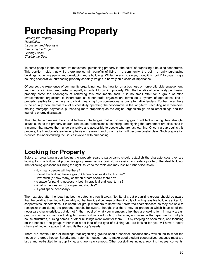# **Purchasing Property**

*Looking for Property Negotiation Inspection and Appraisal Financing the Project Getting Loans Closing the Deal* 

To some people in the cooperative movement, purchasing property is "the point" of organizing a housing cooperative. This position holds that while there are certain benefits of living in a community, the point is really purchasing buildings, acquiring equity, and developing more buildings. While there is no single, monolithic "point" to organizing a housing cooperative, purchasing property certainly weighs in heavily on a scale of importance.

Of course, the experience of community organizing, learning how to run a business or non-profit, civic engagement, and democratic living are, perhaps, equally important to owning property. With the benefits of collectively purchasing property come the challenges of achieving this monumental task. It is no small affair for a group of often overcommitted organizers to incorporate as a non-profit organization, formulate a system of operations, find a property feasible for purchase, and obtain financing from conventional and/or alternative lenders. Furthermore, there is the equally monumental task of successfully operating the cooperative in the long-term (recruiting new members, making mortgage payments, purchasing more properties) as the original organizers go on to other things and the founding energy dissipates.

This chapter addresses the critical technical challenges that an organizing group will tackle during their struggle. Issues such as the property search, real estate professionals, financing, and signing the agreement are discussed in a manner that makes them understandable and accessible to people who are just learning. Once a group begins this process, the Handbook's earlier emphasis on research and organization will become crystal clear. Such preparation is critical to understanding the issues involved with purchasing.

## **Looking for Property**

Before an organizing group begins the property search, participants should establish the characteristics they are looking for in a building. A productive group exercise is a brainstorm session to create a profile of the ideal building. The following questions will bring the right issues to the table and may inspire further discussion:

- How many people will live there?
- Should the building have a group kitchen or at least a big kitchen?
- How much (or how many) common area/s should there be?
- Is space for parking necessary, both in practical and legal terms?
- What is the ideal mix of singles and doubles?
- Is yard space necessary?

The next step after the ideal has been created is throw it away. Not literally, but organizing groups should be aware that the building they find will probably not be their ideal because of the difficulty of finding feasible buildings suited for cooperatives. Nonetheless, it is useful for group members to know their preferred characteristics so they are able to recognize them during the property search. Be aware, though, that there may be properties which have all of the necessary characteristics, but do not fit the model of what your members think they are looking for. In many areas, groups may be focused on finding big funky buildings with lots of character, and assume that apartments, multiple house structures, nursing homes, or other buildings won't work for them. But by keeping an open mind, and focusing on the needs of the group, rather than a set idea of the type of building you are looking for, you will have a better chance of finding a space that best fits the coop's needs.

There are certain kinds of buildings that organizing groups should consider because they well-suited to meet the needs of a group house. Sorority and fraternity houses tend to make good student cooperatives because most are large and well-suited for group living, and are near campus. Other possibilities include: rooming houses, convents,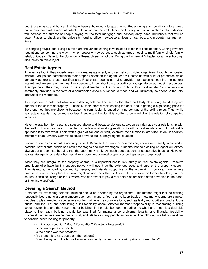bed & breakfasts, and houses that have been subdivided into apartments. Redesigning such buildings into a group house can make rates more affordable. Choosing one central kitchen and turning remaining kitchens into bedrooms will increase the number of people paying for the total mortgage and, consequently, each individual's rent will be lower. Places to check are the university housing office, newspapers, flyers on campus, and property management firms.

Relating to group's ideal living situation are the various zoning laws must be taken into consideration. Zoning laws are regulations concerning the way in which property may be used, such as group housing, multi-family, single family, retail, office, etc. Refer to the Community Research section of the "Doing the Homework" chapter for a more thorough discussion on this subject.

#### **Real Estate Agents**

An effective tool in the property search is a real estate agent, who can help by guiding organizers through the housing market. Groups can communicate their property needs to the agent, who will come up with a list of properties which generally adhere to those specifications. Real estate agents can also provide information concerning the general market, and are some of the most likely people to know about the availability of appropriate group-housing properties. If sympathetic, they may prove to be a good teacher of the ins and outs of local real estate. Compensation is commonly provided in the form of a commission once a purchase is made and will ultimately be added to the total amount of the mortgage.

It is important to note that while real estate agents are licensed by the state and fairly closely regulated, they are agents of the sellers of property. Principally, their interest rests sealing the deal, and in getting a high selling price for the properties they are showing because the commission is based on a percentage of the selling price. Thus, while real estate agents may be more or less friendly and helpful, it is worthy to be mindful of the relation of competing interests.

Nevertheless, both for reasons discussed above and because obvious suspicion can damage your relationship with the realtor, it is appropriate to maintain a professional working relationship with a real estate agent. An advisable approach is to take what is said with a grain of salt and critically examine the situation in later discussion. In addition, members of an Advisory Committee could prove useful in analyzing the situation.

Finding a real estate agent is not very difficult. Because they work by commission, agents are usually interested in potential new clients, which has both advantages and disadvantages. It means that cold calling an agent will almost always get a response, but also that the agent may not know much about student or cooperative housing. However, real estate agents do exist who specialize in commercial rental property or perhaps even group housing.

While they are integral to the property search, it is important not to rely purely on real estate agents. Proactive organizers who have built a support network will use it as the extended eyes and ears of the property search. Administrators, non-profits, community people, and friends supportive of the organizing group can play a very productive role. Other places to look might include the office of Greek life, a current or former landlord, and, of course, classified listings online. Owners who don't want to pay a real estate commission often advertise in the paper or in online classifieds.

#### **Devising a Search Method**

A method for examining potential building should be devised by the organizers. This method might include dividing responsibilities among group members such as: making a floor plan to keep track of how many rooms are singles, doubles, triples; keeping a special eye out for maintenance considerations, such as leaky roofs, critters, cracks, loose bricks, and the like; and calculating quick feasibility check. Another member responsibility is researching building codes, ownership, and the value of other buildings in the neighborhood. In addition to whether or not it is a desirable place to live, each building should be examined for maintenance problems, legality, and financial feasibility. Successful organizers are curious, critical, and talk to as many people as possible. The following is a list of questions to consider when looking for property:

- Is it in good condition? Roof? Foundation? Paint job? Heater/AC?
- Is the water pressure good?
- Is the house weather-proofed?
- Are there mice, rats, bugs, or other critters?
- Does the layout of the house balance community common space with privacy for members?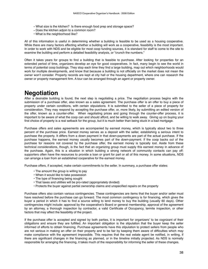- What size is the kitchen? Is there enough food prep and storage space?
- Does the kitchen adjoin to a common room?
- What is the neighborhood like?

All of this information is useful in determining whether a building is feasible to be used as a housing cooperative. While there are many factors affecting whether a building will work as a cooperative, feasibility is the most important. In order to work with NDS and be eligible for most coop funding sources, it is standard for staff to come to the site to examine the building and perform a detailed feasibility analysis, or "crunch the numbers."

Often it takes years for groups to find a building that is feasible to purchase. After looking for properties for an extended period of time, organizers develop an eye for good cooperatives. In fact, many begin to see the world in terms of potential coop buildings. They stop each time they find a large building, map out which neighborhoods would work for multiple developments, and know that because a building is not officially on the market does not mean the owner won't consider. Property records are kept at city hall or the housing department, where one can research the owner or property management firm. A tour can be arranged through an agent or property owner.

## **Negotiation**

After a desirable building is found, the next step is negotiating a price. The negotiation process begins with the submission of a purchase offer, also known as a sales agreement. The purchase offer is an offer to buy a piece of property under certain conditions, with certain stipulations. It is submitted to the seller of a piece of property for consideration. They may respond by accepting the purchase offer, or, more likely, by submitting an edited version of the offer, known as a counter-offer. When negotiating prices and going through the counter-offer process, it is important to be aware of what the coop can and should afford, and be willing to walk away. Giving up on buying your first choice of property is a real setback for the group, but it is much better than being stuck in a bad mortgage.

Purchase offers and sales agreements are accompanied by earnest money, which is typically about two to three percent of the purchase price. Earnest money serves as a deposit with the seller, establishing a serious intent to purchase the property. It differs from a down payment in that down-payments are part of the actual purchase. If the purchase happens, the earnest money usually becomes part of the down-payment. If the coop backs out of the purchase for reasons not covered by the purchase offer, the earnest money is typically lost. Aside from these technical considerations, though, is the fact that an organizing group must supply this earnest money in advance of the purchase. Again, this is a situation in which building a strong network of community contacts can pay off: supporters often have the resources to provide a loan or grant for part or all of this money. In some situations, NDS can arrange a loan from an established cooperative for the earnest money.

Purchase offers, if accepted, make certain commitments to the seller. In summary, a purchase offer states:

- The amount the group is willing to pay
- When it would like to take possession
- The type of financing being sought
- That taxes and utilities will be pro-rated (appropriately divided)
- Protects the buyer against partial ownership claims and unspecified repairs on the property

Purchase offers also contain various contingencies. These contingencies are items that the buyer and/or seller must have resolved before the purchase can go forward. The most common contingency is for financing, which gives the buyer a period in which it has to find a source willing to lend money to buy the building (usually 60 days). Other contingencies might include: approval by the cooperative's Board or general membership, approval of the agreement by an attorney, a thorough inspection by contractor, a valid Certificate of Occupancy, termite inspection, or other factors that may affect the feasibility of the project.

If the purchase offer is accepted and signed by both parties, it is important for organizers' to be cognizant of their obligations and ensure they are fulfilled. An important obligation is the stipulation that the buyer keep the seller informed of efforts to obtain financing. Purchase agreements have this stipulation to protect sellers from people who are not serious in making an offer on their property and to be fair by keeping them aware of difficulties which may make compliance with the agreement impossible. This requires that the real estate agent be notified, in writing, if there are significant changes in the financing as planned, or in the timeline initially projected. As NDS is normally responsible for arranging the financing, it takes much of the responsibility for informing the seller of these changes.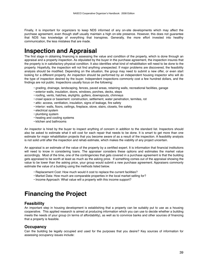Finally, it is important for organizers to keep NDS informed of any on-site developments which may affect the purchase agreement, even though staff usually maintain a high on-site presence. However, this does not guarantee that NDS has knowledge of everything that transpires. Generally, the more effort invested into healthy communication, the less mistakes that are made.

### **Inspection and Appraisal**

The first stage in obtaining financing is assessing the value and condition of the property, which is done through an appraisal and a property inspection. As stipulated by the buyer in the purchase agreement, the inspection insures that the property is in satisfactory physical condition. It also identifies what kind of rehabilitation will need to be done to the property. Hopefully, the inspection will not find anything unexpected. If major problems are discovered, the feasibility analysis should be modified. Depending on the situation, the group may need to submit a new offer, or even start looking for a different property. An inspection should be performed by an independent housing inspector who will do the type of inspection desired by the buyer. Independent inspections commonly cost a few hundred dollars, and the findings are not public. Inspections usually focus on the following:

- grading, drainage, landscaping, fences, paved areas, retaining walls, recreational facilities, garage
- exterior walls, insulation, doors, windows, porches, decks, steps
- roofing, vents, hatches, skylights, gutters, downspouts, chimneys
- crawl space or basement: construction, settlement, water penetration, termites, rot
- attic: access, ventilation, insulation, signs of leakage, fire safety
- interior: walls, floors, ceilings, fireplace, stove, stairs, closets, fire safety
- electrical system
- plumbing system
- heating and cooling systems
- kitchen and bathrooms

An inspector is hired by the buyer to inspect anything of concern in addition to the standard list. Inspectors should also be asked to estimate what it will cost for each repair that needs to be done. It is smart to get more than one estimate for major rehabilitation projects that you become aware of as a result of the inspection. A feasibility analysis is not solid until after the inspection and rehab estimate, which makes the viability of any project uncertain.

An appraisal is an estimate of the value of the property by a certified expert. It is information that financial institutions will need to know in considering loans. The appraiser considers these options and estimates the market value accordingly. Most of the time, one of the contingencies that gets covered in a purchase agreement is that the building gets appraised to be worth at least as much as the asking price. If something comes out of the appraisal showing the value to be lower than the asking price, your group would submit a new purchase agreement. Appraisers commonly estimate the value of a building using the methods listed below.

- Replacement Cost: How much would it cost to replace the current facilities?
- Market Data: How much are comparable properties in the local market selling for?
- Income Approach: What value will a property with this income support?

## **Financing the Project**

#### **Feasibility**

An important step in housing development is establishing that a property can be suitably put to use as a housing cooperative. This applied research is aimed at producing information which you can use to decide whether a building meets the needs of your group (in terms of affordability), as well as to convince banks and other sources of financing that a property is feasible.

#### **Occupancy**

Can the building be legally occupied and used for the purposes that you desire? Key sources of information for assessing occupancy issues include: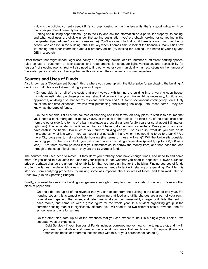• How is the building currently used? If it's a group housing, or has multiple units, that's a good indication. How many people does it currently house?

• Zoning and building departments - go to the City and ask for information on a particular property, its zoning, and what legal uses are eligible under that zoning designation (you're probably looking for something in the multiple-family/apartment/rooming house range). You'll also want to find out if there is a maximum number of people who can live in the building - that'll be key when it comes time to look at the financials. Many cities now list zoning and other information about a property online (try looking for "zoning", the name of your city, and GIS in a search).

Other factors that might impact legal occupancy of a property include lot size, number of off-street parking spaces, rules on use of basement or attic spaces, and requirements for adequate light, ventilation, and accessibility (or "egress") of sleeping rooms. You will also need to find out whether your municipality has restrictions on the number of "unrelated persons" who can live together, as this will affect the occupancy of some properties.

#### **Sources and Uses of Funds**

Also known as a "Development Budget", this is where you come up with the ticket price for purchasing the building. A quick way to do this is as follows. Taking a piece of paper, :

• On one side list of all of the costs that are involved with turning the building into a working coop house. Include an estimated purchase price, any rehabilitation work that you think might be necessary, furniture and appliances, anything else that seems relevant, and then add 10% for miscellaneous contingency items. Only count the one-time expenses involved with purchasing and starting the coop. Total these items - they are known as the **uses** of funds.

• On the other side, list all of the sources of financing and their terms. An easy place to start is to assume that you'll need a bank mortgage for about 75-80% of the cost of the project - so take 80% of the total ticket price from the other side (the terms of a bank mortgage are usually a loan for 20 years or so at about 8% interest right now). The remainder is risk financing that you'll have to drag up from somewhere. Does your organization have cash in the bank? How much of your current building can you use as equity (what do you owe on its mortgage vs. what it is worth - you can count that as cash in hand when it comes time to go to a bank)? Are there City programs to help affordable housing (the terms of these will vary)? Will the University consider financing part of the cost? Could you get a loan from an existing cooperative (possibly up to \$50,000 as a loan)? Are there private persons that your members could borrow the money from, and then pass the loan through to the coop? Total these - they are the **sources** of funds.

The sources and uses need to match!! If they don't you probably don't have enough funds, and need to find some more. Or you need to evaluates the uses for your capital, to see whether you need to negotiate a lower purchase price or perhaps change the amount of rehabilitation that you are planning for the building. Finding sources of funds is often the largest hurdle which a new housing cooperative needs to tackle in starting or expanding. Don't let this stop you from analyzing properties; try making some assumptions about sources of funds, and then work later on Cashflow (aka an Operating Budget).

Finally, you need to see if the building can generate enough money to cover the costs of running it. Take another piece of paper and:

- On one side total up all of the revenue that you can expect from the building in the space of one year. For housing coops, this is almost entirely rent (assuming that food and utility charges are a part of your rent). Look at each space in the house, and determine what you could reasonably charge for it. Total the rent for each month, and come up with a gross figure for the whole year. In a student organizing group, if the summer housing market is significantly different, you will need to do two different sets of revenue, one for school year and one for summer.
- On the other side, total up all of the expenses that you can expect to incur in a single year. Look at two separate types of expenses:

i) Debt Service - if your Sources of Funds includes borrowed money (loans, mortgages, etc), and it will, you need to calculate and itemize the annual payments that each loan will require (there are amortization books or programs that can help with this, or your spreadsheet can do it).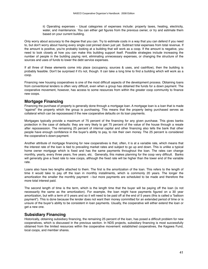ii) Operating expenses - Usual categories of expenses include: property taxes, heating, electricity, water, and maintenance. You can either get figures from the previous owner, or try and estimate them based on your current building.

Only worry about accuracy to the degree that you can. Try to estimate costs in a way that you can defend if you need to, but don't worry about having every single cost pinned down just yet. Subtract total expenses from total revenue. If the amount is positive, you're probably looking at a building that will work as a coop. If the amount is negative, you need to look closely at how you can make this building support itself. Possible strategies include increasing the number of people in the building paying rent, eliminating unnecessary expenses, or changing the structure of the sources and uses of funds to lower the debt service expenses.

If all three of these elements come into place (occupancy, sources & uses, and cashflow), then the building is probably feasible. Don't be surprised if it's not, though. It can take a long time to find a building which will work as a coop.

Financing new housing cooperatives is one of the most difficult aspects of the development process. Obtaining loans from conventional lenders is often very difficult, even when a group has obtained the funds for a down payment. The cooperative movement, however, has access to some resources from within the greater coop community to finance new coops.

#### **Mortgage Financing**

Financing the purchase of property is generally done through a mortgage loan. A mortgage loan is a loan that is made "against" the property which the group is purchasing. This means that the property being purchased serves as collateral which can be repossessed if the new cooperative defaults on its loan payments.

Mortgages typically provide a maximum of 75 percent of the financing for any given purchase. This gives banks protection in the case of defaults: they are very likely to get 75 percent of the value of the house through a resale after repossession. The remaining 25 percent of internal capital and other financing also tells the bank that other people have enough confidence in the buyer's ability to pay, to risk their own money. The 25 percent is considered the cooperative's down-payment.

Another attribute of mortgage financing for new cooperatives is that, often, it is at a variable rate, which means that the interest rate of the loan is tied to prevailing market rates and subject to go up and down. This is unlike a typical home owner mortgage which is fixed and has the same payments throughout the loan. The rates can change monthly, yearly, every three years, five years, etc. Generally, this makes planning for the coop very difficult. Banks will generally give a fixed rate to new coops, although the fixed rate will be higher than the lower end of the variable rate.

Loans also have two lengths attached to them. The first is the amortization of the loan. This refers to the length of time it would take to pay off the loan in monthly installments, which is commonly 20 years. The longer the amortization the smaller the monthly payment —but more payments are scheduled to be made and therefore the more total interest paid.

The second length of time is the term, which is the length time that the buyer will be paying off the loan (is not necessarily the same as the amortization). For example, the loan might have payments figured on a 30 year amortization, but with a term of 5 years and so it will need to be paid off at the end of 5 years (this is called a "balloon payment"). This is done because the lender does not want their money committed for an extended period of time or is unsure of the buyer's ability to be consistent in loan payments. Usually, the cooperative will either extend the loan or get a new one.

#### **Subsidiary Financing**

Historically, obtaining subsidiary financing, the remaining 25 percent of the loan, has posed a difficult problem for new cooperatives, which is discussed in the previous section. In NDS projects, subsidiary financing is most successfully obtained from the limited resources within the cooperative movement: established cooperatives, the Kagawa Fund, local coops, and member shares.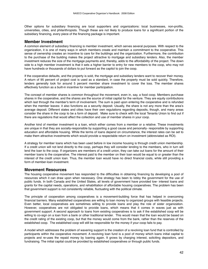Other options for subsidiary financing are local supporters and organizations: local businesses, non-profits, universities, cities, and philanthropists. Though these are not likely to produce loans for a significant portion of the subsidiary financing, every piece of the financing package is important.

#### **Member Investment**

A common element of subsidiary financing is member investment, which serves several purposes. With respect to the organization, it is one of many ways in which members create and maintain a commitment to the cooperative. This sense of ownership creates an incentive to care for the buildings and the organization. Furthermore, the contribution to the purchase of the building makes the project attractive to mortgage and subsidiary lenders. Also, the member investment reduces the size of the mortgage payments and, thereby, adds to the affordability of the project. The down side to a high member investment is that it sets a higher barrier to entry for new members to the coop, who may not have hundreds or thousands of dollars to put forward as the capitol to join the coop.

If the cooperative defaults, and the property is sold, the mortgage and subsidiary lenders want to recover their money. A return of 95 percent of project cost is used as a standard, in case the property must be sold quickly. Therefore, lenders generally look for around 5 percent member share investment to cover the loss. The member shares effectively function as a built-in incentive for member participation.

The concept of member shares is common throughout the movement, even in, say, a food coop. Members purchase shares in the cooperative, and the shares are the source of initial capital for the venture. They are equity contributions which last through the member's term of involvement. The sum is paid upon entering the cooperative and is refunded when the member leaves: it also functions as a security deposit. Usually, the share is not any more than the area's average deposit. Different states and cities have their own regulations regarding deposits, though, and many areas consider the share in the coop to be a form of deposit. Make sure to check with the local Tenants Union to find out if there are regulations that would affect the collection and use of member shares in your coop.

Another kind of member investment is a loan, which either comes from a member or a relative. These investments are unique in that they are socially-responsible by supporting a good cause and personally- responsible by supporting education and affordable housing. While the terms of loans depend on circumstance, the interest rates can be set to make them attractive investments which would provide a respectable return on investment (abbreviated as ROI).

A strategy for member loans which has been used before in low income housing is through credit union membership. If a credit union will not lend directly to the coop, perhaps they will consider lending to the members, who in turn will lend the loan to the coop. If organizers are members of a credit union, they can take out loans for the amount of their member loans to the cooperative. The interest paid to the member on their loan would be equal to or greater than the interest of the credit union loan. Thus, the member loan would have no direct financial costs, while still providing a form of member-loan investment.

#### **Movement Resources**

The housing cooperative movement has responded to the difficulties in obtaining financing by developing a pool of resources which it can draw upon when necessary. One strategy has been to lobby the government for the use of public funds. In both Canada and the United States, all levels of government have provided low- interest loans and grants for the capital needs, operations, and rehabilitation of affordable housing cooperatives. The problem has been that government support is not consistently reliable, fluctuating with the political climate.

The principle of cooperation among cooperatives is a movement-building force that has helped in overcoming financial barriers. Many established cooperatives are willing to loan money to organized groups with feasible projects. Even better, local cooperatives are sometimes willing to provide loans and play the role of sister organization. However, cooperatives are not obligated to provide loans, which means that it comes in waves just as with government support. A second approach to loans from existing cooperatives is to ask if the established coop will be willing to co-sign on a loan from a bank or other traditional lender. This would mean that the loan would be based on the credit rating of the existing coop, but that the money would come from the bank, rather than the reserves of the established coop. The established coop will still be responsible for the money if your coop fails to pay.

A model which addresses the problem of wavering support is the creation of a revolving loan fund that is controlled by participants within the cooperative movement. A revolving loan fund is a pool of money which loans initial capital to projects and re-uses the repaid money by loaning again. It grows by charging interest, soliciting depositors, and fundraising. The initial capital could be provided by established cooperatives or through public funds.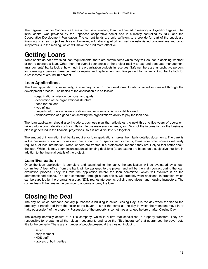The Kagawa Fund for Cooperative Development is a revolving loan fund named in memory of Toyohiko Kagawa. The initial capital was provided by the Japanese cooperative sector and is currently controlled by NDS and the Cooperative Development Foundation. The current funds are only sufficient to a provide for part of the subsidiary financing of a few project each year. However, a fundraising effort focused on established cooperatives and coop supporters is in the making, which will make the fund more effective.

## **Getting Loans**

While banks do not have fixed loan requirements, there are certain items which they will look for in deciding whether or not to approve a loan. Other than the overall soundness of the project (ability to pay and adequate management arrangements) banks look at how much the organization budgets in reserves. Safe numbers are as such: two percent for operating expenses, three percent for repairs and replacement, and five percent for vacancy. Also, banks look for a net income of around 10 percent.

#### **Loan Applications**

The loan application is, essentially, a summary of all of the development data obtained or created through the development process. The basics of the application are as follows:

- organizational mission, purpose, and goals
- description of the organizational structure
- need for the loan
- type of loan
- property information: value, condition, and existence of liens, or debts owed
- demonstration of a good plan showing the organization's ability to pay the loan back

The loan application should also include a business plan that articulates the next three to five years of operation, taking into account details such as inflation, future maintenance needs, etc. Most of the information for the business plan is generated in the financial projections, so it is not difficult to put together.

The amount of information that banks require for loan applications makes them fairly detailed documents. The bank is in the business of loaning money and has a long list of specific requirements; loans from other sources will likely require a lot less information. When lenders are treated in a professional manner, they are likely to feel better about the loan. While this may seem inconsequential, lending decisions (to an extent) are based on a subjective intuition, in addition to the financial details of the project.

#### **Loan Evaluation**

Once the loan application is complete and submitted to the bank, the application will be evaluated by a loan committee. A loan officer from the bank will be assigned to the project and will be the main contact during the loan evaluation process. They will take the application before the loan committee, which will evaluate it on the aforementioned criteria. The loan committee, through a loan officer, will probably want additional information which can be supplied by the organizing group, NDS, real estate agents, building appraisers, and housing inspectors. The committee will then make the decision to approve or deny the loan.

## **Closing the Deal**

The day on which someone actually purchases a building is called Closing Day. It is the day when the title to the property is transferred from the seller to the buyer. It is not the same as the day in which the members move-in or "take possession" of the property. Possession of the property is sometimes arranged before or after Closing Day.

The closing normally occurs at a title company, which is a firm that specializes in property transfers. They are responsible for preparing all the relevant documents and issue the "Title Insurance" that guarantees the buyer gets title to the property. There are a number of people present at the closing, including:

- seller
- coop member
- NDS staff
- lawyers of both parties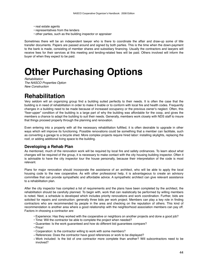- real estate agents
- representatives from the lenders
- other parties, such as the building inspector or appraiser

Sometimes there will be an independent lawyer who is there to coordinate the affair and draw-up some of title transfer documents. Papers are passed around and signed by both parties. This is the time when the down-payment to the bank is made, consisting of member shares and subsidiary financing. Usually the contractors and lawyers will receive fees for their services at this meeting and lending-related fees will be paid. Others involved will inform the buyer of when they expect to be paid.

# **Other Purchasing Options**

*Rehabilitation The NASCO Properties Option New Construction*

## **Rehabilitation**

Very seldom will an organizing group find a building suited perfectly to their needs. It is often the case that the building is in need of rehabilitation in order to make it livable or to conform with local fire and health codes. Frequently changes in a building need to be made because of increased occupancy or the previous owner's neglect. Often, this "fixer-upper" condition of the building is a large part of why the building was affordable for the coop, and gives the members a chance to adapt the building to suit their needs. Generally, members work closely with NDS staff to insure that things proceed properly through the planning and renovation.

Even entering into a property with all the necessary rehabilitation fulfilled, it is often desirable to upgrade in other ways which will improve its functioning. Possible renovations could be something that a member can facilitate, such as converting a garage to a bicycle shed. More complex projects require hired labor: installing skylights, replacing the roof, or adding additional living space to the building.

#### **Developing a Rehab Plan**

As mentioned, much of the renovation work will be required by local fire and safety ordinances. To learn about what changes will be required of the group, it is necessary to make contact with the city housing building inspector. Often it is advisable to have the city inspector tour the house personally, because their interpretation of the code is most relevant.

Plans for major renovation should incorporate the assistance of an architect, who will be able to apply the local housing code to the new cooperative. As with other professional help, it is advantageous to create an advisory committee that can provide sympathetic and affordable advice. A sympathetic architect can give relevant assistance to a rehabilitation plan.

After the city inspector has compiled a list of requirements and the plans have been completed by the architect, the rehabilitation should be carefully planned. To begin with, work that can realistically be performed by willing members is noted. Next, a schedule is developed which includes priority renovations and work coordination. Further, bids are solicited for repairs and construction: generally three bids per work project. Members can play a key role in finding contractors who are recommended by people in the area and checking on the reputation of others. This kind of recommendation is another area where a good relationship with the neighborhood association members can pay off. Factors in choosing a contractor are:

- Experience: Has they worked with the cooperative or neighbors on another projects and done a good job?
- Time: Will the contractor be able to complete the project when needed?
- Guarantee: Is the work guaranteed and how do different bid guarantees compare?
- Price!
- Cooperation: Is the contractor willing to work with some members?
- References: Does the contractor have good references or work to be displayed?
- Work included: Is the bid of one contractor more complete than another? Will subcontractors need to be involved?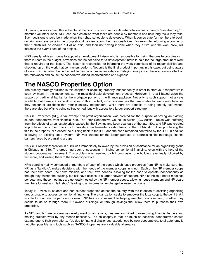Organizing a work committee is helpful, if the coop wishes to reduce its rehabilitation costs through "sweat-equity," or member volunteer labor. NDS can help establish what tasks are doable by members and how long tasks may take. Such decisions should be made when the rehab schedule is developed. When it comes time for members to begin certain tasks, everyone in the group should be clear about their responsibilities. For example, informing a contractor that rubbish will be cleared out of an attic, and then not having it done when they arrive with the work crew, will increase the overall cost of the project.

NDS usually advises groups to appoint a development liaison who is responsible for being the on-site coordinator. If there is room in the budget, provisions can be set aside for a development intern to paid for the large amount of work that is required of the liaison. The liaison is responsible for informing the work committee of its responsibilities and checking-up on the work that contractors perform. Not only is the final product important in this case, but being aware of work which is falling behind schedule can be of crucial importance. Delaying one job can have a domino effect on the renovation and cause the cooperative added inconvenience and expense.

## **The NASCO Properties Option**

The primary strategy outlined in this chapter for acquiring property independently in order to start your cooperative is seen by many in the movement as the most desirable development process. However, it is still based upon the support of traditional banks for the mortgage portion of the finance package. Not only is such support not always available, but there are some downsides to this. In fact, most cooperatives that are unable to overcome obstacles they encounter are those that remain entirely independent. While there are benefits to being entirely self-owned, there are also benefits to being self-governed, but with access to a larger support structure.

NASCO Properties (NP), a tax-exempt non-profit organization, was created for the purpose of saving an existing student cooperative from financial ruin. The Inter Cooperative Council in Austin (ICC-Austin), Texas was suffering from the effects of a real estate crisis caused by the Savings and Loan scandals of the late- 80s, and NP was created to purchase one of their buildings to provide a much-needed cash infusion to the ICC-Austin. After purchasing the title to the property, NP leased the building back to the ICC, and the coop remained controlled by the ICC. In addition to saving an existing coop system, NP was created for the larger purpose of addressing the mortgage finance barriers faced by organizing groups.

NASCO Properties' creation in 1988 was immediately followed by the provision of assistance for an organizing group in Chicago in 1989. The group had been unsuccessful in finding conventional financing, even with the help of the student cooperative movement. This problem was resolved by NP purchasing one building, eventually followed by two more, and leasing them to the local cooperative.

NP's board is mainly composed of members of each of the coops which lease properties from NP, to make sure that NP, as a "landlord", makes decisions with the needs of the member coops in mind. Each of the NP member coops has their own board, their own mission, and their own policies, allowing for the coop to operate independently as though they owned the building, but still have access to a larger network of support. NP also holds 3 board meetings per year, and these meetings are generally hosted by the NP member coops, allowing house members and NP board members to meet and "talk shop", leading to an information exchange between the coops.

Today, NP owns 10 student and non-student properties across the country, with the intention of assisting organizing groups unable to access conventional financing. The organization seeks to empower the local coop to the point that it is able to purchase property on its own. NP has a commitment to helping member coops expand, whether they decide to do so through more NP owned buildings, or through savings that allow them to purchase their own properties.

As NDS and NP are cooperative development organizations, they are committed to overcoming financial barriers and making projects work by any means necessary. The philosophy is that, as much as possible, cooperatives should expand due to their own efforts. Yet, due to financial challenges experienced by new cooperatives, total autonomy is not often possible, and tools such as NASCO Properties are a valuable alternative.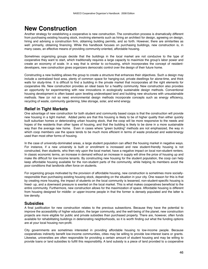### **New Construction**

Another strategy for establishing a cooperative is new construction. The construction process is dramatically different from purchasing existing housing stock, involving elements such as hiring an architect for design, agreeing on design, hiring and advising a construction firm, obtaining building permits, and so forth. However, there are similarities as well: primarily, obtaining financing. While this handbook focuses on purchasing buildings, new construction is, in many cases, an effective means of providing community-oriented, affordable housing.

Sometimes organizing groups decide that the buildings in the local market are not conducive to the type of cooperative they want to start, which traditionally requires a large capacity to maximize the group's labor power and create an economy of scale. In a way that is similar to co-housing, which incorporates the concept of residentdevelopers, new construction gives organizers democratic control over the design of their future home.

Constructing a new building allows the group to create a structure that enhances their objectives. Such a design may include a centralized food area, plenty of common space for hanging-out, private dwellings for alone-time, and thick walls for study-time. It is difficult to find a building in the private market that incorporates all the right elements for cooperative life. New construction provides an ideal basis for a healthy community. New construction also provides an opportunity for experimenting with new innovations in ecologically sustainable design methods. Conventional housing development is often based upon leveling undeveloped land and building new structures with unsustainable methods. New (or not so new) environmental design methods incorporate concepts such as energy efficiency, recycling of waste, community gardening, bike storage, solar, and wind energy.

#### **Relief in Tight Markets**

One advantage of new construction for both student and community based coops is that the construction will provide new housing in a tight market. Added perks are that this housing is likely to be of higher quality than either quickly built suburban homes or deteriorating urban housing stock, that the coop will be more responsive to the needs and hopes of the residents than other types of housing, and that the building is likely to be done in a more sustainable way than the average new home. Even in cases where "green building" methods are not emphasized, the way in which coop members use the space tends to be much more efficient in terms of waste produced and water/energy used than most other forms of housing.

In the case of university-dominated areas, a large student population can affect the housing market in negative ways. For instance, if a new university is built or enrollment is increased and new student-friendly housing is not constructed, then students, who then rely upon the local market, have a negative impact on local non-student renters. In classic economic terms, an increase in demand without an increase in supply will drive the price of housing up and make life difficult for low-income tenants. By constructing new housing for the student population, the coop can help keep affordable housing available for the non-student parts of the community, while helping its members avoid the poor conditions that landlords often force on students.

For organizing groups motivated by the provision of affordable housing, new construction is sometimes more sociallyresponsible than purchasing existing housing stock, depending on the situation in your city. One reason for this is that by creating more housing, the impact of students on the local community is lessened, non-student-specific housing is freed- up, and a downward pressure is exerted on the local market. This is what makes cooperatives beneficial to the entire community. Furthermore, new construction allows for the maximization of space. Affordable housing is different from housing designed for middle- or upper-income people in that the former is densely populated and the latter is low density.

#### **Subsidies**

A final justification for new construction relates to the previous subsections. Because they have the potential to improve the accessibility of higher education, the larger community, and the well-being of the planet, new construction projects are more eligible for public and private subsidies than purchased property. There are, however, often funds available for rehabilitating buildings in deteriorating neighborhoods, so it is worth finding out what the funding options are at your local housing non-profit.

City governments are sometimes interested in providing affordable housing to low-income people. Because cooperatives indirectly benefit low-income communities, cities may be willing to provide low-interest loans or grants. Likewise, universities are often responsible for providing a certain amount of student housing and may be willing to provide loans or land subsidies to fulfill this responsibility. A land subsidy is a piece of land provided to a cooperative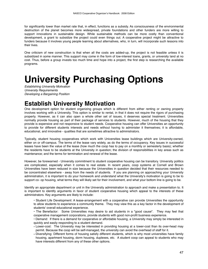for significantly lower than market rate that, in effect, functions as a subsidy. As consciousness of the environmental destruction of the planet becomes more widespread, private foundations and other funders are more willing to support innovations in sustainable design. While sustainable methods can be more costly than conventional development, a grant to subsidize the project could even things out. A cooperative project might be attractive to funders because it involves young people learning about alternatives, who, in turn, will incorporate such lessons into their lives.

One criticism of new construction is that when all the costs are added-up, the project is not feasible unless it is subsidized in some manner. This support may come in the form of low-interest loans, grants, or university land at no cost. Thus, before a group invests too much time and hope into a project, the first step is researching the available programs.

# **University Purchasing Options**

*Establishing University Motivation University Requirements Developing a Bargaining Position*

### **Establish University Motivation**

One development option for student organizing groups which is different from either renting or owning property involves working with a University. This option is similar to rental, in that it does not require the rigors of purchasing property. However, as it can also open a whole other set of issues, it deserves special treatment. Universities normally provide housing as part of their package of services to students. However, much of the housing that they provide is expensive and not responsive to student needs. Cooperative housing can offer Universities an opportunity to provide for different students interests and needs without having to administer it themselves; it is affordable, educational, and innovative - qualities that are sometimes attractive to administrators.

Typically, student housing cooperatives which work with Universities lease buildings which are University-owned, either on or off-campus. The terms of the lease vary widely, as do the terms of occupancy. Key issues in successful leases have been the value of the lease (how much the coop has to pay on a monthly or semesterly basis); whether the residents have to be students at the University in question; the division of responsibilities in key areas such as maintenance; and the terms for termination and renewal of the lease.

However, be forewarned - University commitment to student cooperative housing can be transitory. University politics are complicated, especially when it comes to real estate. In recent years, coop systems at Cornell and Brown Universities have been reduced in size because the Universities in question decided that their resources needed to be concentrated elsewhere - away from the needs of students. If you are planning on approaching your University administration, it is important to do your homework and understand what the University's motivation is going to be to support co- op housing, what terms they will likely set for their involvement, and what your bottom line is going to be.

Identify an appropriate department or unit in the University administration to approach and make a presentation to. It is important to identify arguments in favor of student cooperative housing which appeal to the interests of these administrators. Key arguments are likely to include:

• Student Life Development: A lease-arrangement with a cooperative can provide Universities the opportunity to allow students to experience a community theme. They may view this as a key factor in the development of students' overall educational experience.

• The Benefactor: Some Universities may desire to aid students in a "good cause". They may feel that cooperative management corporations, provide students with good non-profit business experience.

• Demand: If there is a demand for cooperative or affordable housing, a University may simply be interested in quickly and easily responding to a student demand.

- Lower-cost: The University may be interested in providing housing at a lower-cost than its over-head may permit. Because the coop will be self-managed, the university can avoid the overhead of staff for it.
- Diversifying: Different forms of housing satisfy different students, which is why most universities have family housing, apartment housing, dorm housing, duplexes, etc. A student coop can appeal to students who may have interests different from any of these other options.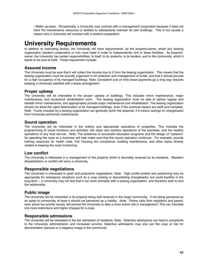• Better up-keep: Occasionally, a University may contract with a management corporation because it does not have the maintenance resources or abilities to satisfactorily maintain its own buildings. This is not usually a reason why a University will contract with a student cooperative.

### **University Requirements**

In addition to motivating factors, the University will have requirements, as the property-owner, which any leasing organization (student cooperative or not) must meet in order to independently rent or lease facilities. As propertyowner, the University has certain responsibilities, to itself, to its students, to its lenders, and to the community, which it wants to be sure to fulfill. Those requirement include:

#### **Assured income**

The University must be sure that it will collect the income due to it from the leasing organization. This means that the leasing organization must be soundly organized in its collection and management of funds; and that it should provide for a high occupancy of its managed buildings. Note: Consistent and on time lease payments go a long way towards keeping a University satisfied with a lease arrangement.

#### **Proper upkeep**

The University will be interested in the proper upkeep of buildings. This includes minor maintenance, major maintenance, and occasional rehabilitation work. The leasing organization must be able to deliver regular and reliable minor maintenance, and appropriately provide major maintenance and rehabilitation. The leasing organization should not allow the rapid deterioration of its managed buildings, even if the eventual repairs are swift and complete. Note: Funds invested by a leasing organization are generally worth the expense, if it means savings on chargebacks from University-performed maintenance.

#### **Sound operation**

The University will be interested in the orderly and appropriate operations of properties. This includes the programming of social functions and activities, the clean and sanitary operations of the premises, and the healthy operations of any food service. Note: The existence of successful education programs and the design of "systems" for operating the coop as a business will help make sure that this sound operation continues. For example, provide training resources for health code, Fair Housing Act compliance, building maintenance, and other topics directly related to keeping the coop functioning.

#### **Low conflict**

The University is interested in a management of the property which is favorably received by its residents. Resident dissatisfaction or conflict will worry a University.

#### **Responsible negotiations**

The University in interested in quiet and productive negotiations. Note: High profile protest and positioning may be appropriate for emergency situations such as a coop closing or skyrocketing chargebacks, but could backfire in the long-term -- a University may not feel that it can work amicably with a leasing organization, and therefore wish to end the relationship.

#### **Public image**

The University will be interested in its property being well-received in the larger community. If not being perceived as an asset to community, at least it should not perceived as a liability. Note: Phone calls from neighbors and parent, even about low priority issues, will prompt the University to take a more active role in management. This can translate into more restrictions and higher charges for a coop.

#### **Responsible admissions**

The University will be interested in the fair admission of residents. Note: Selective admissions can lead to complaints to the University administration and increased scrutiny. Selective admissions may also put the coop at risk for discrimination lawsuits or a negative image in the community.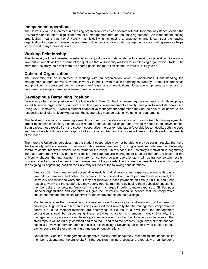#### **Independent operations**

The University will be interested in a leasing-organization which can operate without University assistance (even if the University plans to offer a significant amount of management through the lease agreement). An independent leasing organization means that the University has flexibility in its leasing arrangements, and it can trust the leasing organization to properly manage the premises. Note: A coop using paid management or accounting services helps to lay to rest many University fears.

#### **Working Relationship**

The University will be interested in establishing a good working relationship with a leasing organization. Continuity, low-conflict, and flexibility are some of the qualities that a University will look for in a leasing organization. Note: The more the University feels that there are shared goals, the more flexible the University is likely to be.

#### **Coherent Organization**

The University will be interested in working with an organization which it understands. Understanding the management corporation will allow the University to credit it with trust in operating its property. Note: This translates into providing a consistent contact person and ease of communications. Unanswered phones and emails or unreturned messages damages a sense of responsiveness.

#### **Developing a Bargaining Position**

Developing a bargaining position with the University, in Rent Contract or Lease negotiations, begins with developing a sound business organization, one with articulate goals, a management capacity, and plan to meet its goals (see Doing your Homework). While a student cooperative management corporation may not be able to, or desire to, be responsive to all of a University's desires, the cooperative must be able to live up to its requirements.

The best rent contracts or lease agreements will promise the delivery of certain results (regular lease-payments, proper maintenance, sanitary kitchens...) in return for the use of buildings. The University needs to be convinced that it can expect those results from the student cooperative in order to negotiate a favorable lease. Ideally, both the coop and the university will have clear responsibilities to one another, and both sides will feel comfortable with the benefits of the lease.

The more the University perceives that the student cooperative may not be able to provide certain results, the more the University will be interested in an unfavorable lease-agreement (involving operational interference, Universitycontrol of capital reserves, shorter lease-terms for the coop). In this case, the University's motivation in negotiating the lease agreement will be, partially, to design the cooperative's management structure through the lease. If the University shapes the management structure (or controls certain operations), it will guarantee certain results. However, it will also involve itself in the management of the property, losing some the benefits of leasing its property. In designing its negotiating position the University will look at the following considerations:

Finance: Can the management cooperative usefully budget income and expenses, manage its cashflow, bill its members, and collect its income? If the cooperative cannot perform these tasks well, the University has reason to worry that it may not receive its lease payments on time (or in full), and it has reason to worry the the cooperative may poorly treat its members by having them subsidize substantial member debt, or by creating "surprise" increases in charges in order to make expenses. Similar, poor financial organization and operation will give the University reason to believe that the cooperative should not manage the capital reserves for the improvements on the buildings.

Maintenance: Can the management cooperative prevent deterioration and maintain good up keep of buildings? High wear-and-tear on buildings will alert the University that the management cooperative is poorly run. If its member-residents are destroying its fixtures at a swift rate, the management corporation should be discouraging these activities to save its members money. Similarly, the management cooperative should have a good repair system, so that the University can be assured that small repairs will be quickly identified and repaired -- and repaired properly. High levels of maintenance, especially involving member labor, can assist in convincing a University (or other private parties) to help pay for some repairs or even furniture and equipment donations.

Operations: Can the management cooperative quickly and adequately respond to the needs of its member-residents and the University? If the decision-making processes are too slow or cumbersome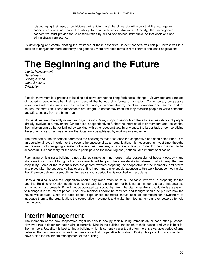(discouraging their use, or prohibiting their efficient use) the University will worry that the management cooperative does not have the ability to deal with crisis situations. Similarly, the management cooperative must provide for its administration by skilled and trained individuals, so that decisions and administration are sound.

By developing and communicating the existence of these capacities, student cooperatives can put themselves in a position to bargain for more autonomy and generally more favorable terms in rent contract and lease-negotiations.

# **The Beginning and the Future**

*Interim Management Recruitment Getting it Done Labor Systems Orientation* 

A social movement is a process of building collective strength to bring forth social change. Movements are a means of gathering people together that reach beyond the bounds of a formal organization. Contemporary progressive movements address issues such as: civil rights, labor, environmentalism, socialism, feminism, open-source, and, of course, cooperatives. These movements are integral to democracy because they mobilize people to voice concerns and affect society from the bottom-up.

Cooperatives are inherently movement organizations. Many coops blossom from the efforts or assistance of people already involved in a movement. Others arise independently to further the interests of their members and realize that their mission can be better fulfilled by working with other cooperatives. In any case, the larger task of democratizing the economy is such a massive task that it can only be achieved by working as a movement.

The third part of the Handbook addresses the challenges that arise once the cooperative has been established. On an operational level, in order for the coop to be successful as an organization, it is necessary to invest time, thought, and research into designing a system of operations. Likewise, on a strategic level, in order for the movement to be successful, it is necessary for the coop to participate on the local, regional, national, and international scales.

Purchasing or leasing a building is not quite as simple as: find house - take possession of house - occupy - and shazaam it's a coop. Although all of those events will happen, there are details in between that will keep the new coop busy. Some of the responsibilities are geared towards preparing the cooperative for the members, and others take place after the cooperative has opened. It is important to give special attention to this work because it can make the difference between a smooth first few years and a period that is muddled with problems.

Once a building is secured, organizers should pay close attention to all the tasks involved in preparing for the opening. Building renovation needs to be coordinated by a coop intern or building committee to ensure that progress is moving forward properly. If it will not be operated as a coop right from the start, organizers should devise a system to manage it in the interim period. Also, new members should be recruited and thought should be put into how the house will operate. Once the coop opens, experienced members should host an orientation for newcomers to introduce them to the organization, the cooperative movement, and make them feel at home and empowered to help run the coop.

### **Interim Management**

The members of the new cooperative might be able to occupy their building immediately or soon after purchase. However, this is dependent upon who is currently living in the building, the length of their leases, and what is best for the members. Usually, it is best to find a building which is currently vacant, but often there is a variable period of time between the purchase and when it becomes an actual cooperative household. During this period, it is advisable to have a plan for the interim management of the building.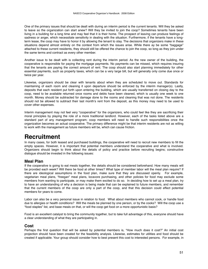One of the primary issues that should be dealt with during an interim period is the current tenants. Will they be asked to leave so the organization can start anew? Will they be invited to join the coop? Sometimes tenants have been living in a building for a long time and may feel that it is their home. The prospect of leaving can produce feelings of sadness or anger, which necessitate sensitivity in dealing with the situation. Furthermore, if the tenants have a longterm lease, the coop may have to honor it by allowing the tenant to stay. The decisions that organizers make in these situations depend almost entirely on the context from which the issues arise. While there ay be some "baggage" attached to these current residents, they should still be offered the chance to join the coop, so long as they join under the same terms and contract as every other member.

Another issue to be dealt with is collecting rent during the interim period. As the new owner of the building, the cooperative is responsible for paying the mortgage payments. No payments can be missed, which requires insuring that the tenants are paying the correct amount of rent. The coop should also start planning immediately for other essential payments, such as property taxes, which can be a very large bill, but will generally only come due once or twice per year.

Likewise, organizers should be clear with tenants about when they are scheduled to move out. Standards for maintaining of each room and cleaning it upon departure should be enforced by the interim manager(s). Lastly, deposits that each resident put forth upon entering the building, which are usually transferred on closing day to the coop, need to be available returned once rooms and debts have been cleaned, which is usually one week to one month. Money should be subtracted for damage done to the rooms and cleaning that was not done. The residents should not be allowed to subtract their last month's rent from the deposit, as this money may need to be used to cover other expenses.

Interim management may not feel very "cooperative" for the organizers, who could feel like they are sacrificing their moral principles by playing the role of a more traditional landlord. However, each of the tasks listed above are a standard part of any management program; coop members will need to handle such responsibilities once the organization becomes an actual cooperative. The primary difference might be that interim residents are not as willing to work with the management as future members will be, which can cause friction.

## **Recruitment**

In many cases, for both leased and purchased buildings, the cooperative will need to recruit new members to fill the empty spaces. However, it is important that potential members understand the cooperative and what is involved. Organizers should begin to think about the details of policy and practice before recruiting begins; constructive dialogue should be invested in the following issues:

#### **Meal Plan**

If the cooperative is going to eat meals together, the details should be considered beforehand. How many meals will be provided each week? Will there be food at other times? What type of member labor will the meal plan require? If there are ideological assumptions in the food plan, make sure that they are discussed openly. For example, vegetarian meal plans, "freegan" meal plans, locavore purchasing, and other policies for food may exclude some members from wanting to participate, or may make them excited to do so. In deciding how to set up a meal plan, try to have an understanding of why a decision is being made that can be explained to future members, and remember that the current members of the coop are only a part of the coop, and that this decision could effect potential members for years to come.

Labor can also be a very personal issue in relation to food. What about members who cannot cook, or handle food due to allergies or health conditions? Will the meals be planned by one person, or by the cooks? Will the coop use a "food staples" list, and base meals on that, or will the coop get food on a more opportunistic basis?

Food is an excellent catalyst to bring the community together, but to take full advantage of this, everyone should have a clear understanding of what they are participating in.

#### **Cost**

Perhaps the first question that will be asked by potential members is, "How much does it cost?" An initial cost projection should have been created for the feasibility analysis. Likewise, estimates for utilities and food should be created if applicable. Your group should consider how to best present this cost to interested persons. For example, in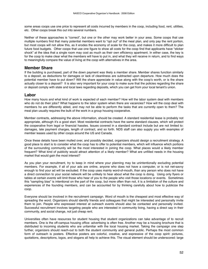some areas coops use one price to represent all costs incurred by members in the coop, including food, rent, utilities, etc. Other coops break this out into several numbers.

Neither of these approaches is "correct", but one or the other may work better in your area. Some coops that use multiple numbers find that many potential members want to "opt out" of the meal plan, and only pay the rent portion, but most coops will not allow this, as it erodes the economy of scale for the coop, and makes it more difficult to plan future food budgets. Other coops that use one figure to show all costs for the coop find that applicants have "sticker shock" at the idea that a single room may cost as much as their own efficiency apartment. In either case, the key is for the coop to make clear what the members will have to put in, and what they will receive in return, and to find ways to meaningfully compare the value of living at the coop with alternatives in the area.

#### **Member Share**

If the building is purchased, part of the down payment was likely a member share. Member shares function similarly to a deposit, as deductions for damages or lack of cleanliness are subtracted upon departure. How much does the potential member have to put down? Will the share appreciate in value along with the coop's worth, or is the share actually closer to a deposit? It is also very important for your coop to make sure that the policies regarding the share or deposit comply with state and local laws regarding deposits, which you can get from your local tenant's union.

#### **Labor**

How many hours and what kind of work is expected of each member? How will the labor system deal with members who do not do their jobs? What happens to the labor system when there are vacancies? How will the coop deal with members ho are differently abled, and may not be able to perform the tasks that are currently open to them? The meal plan usually requires the bulk of the work in a group housing cooperative.

Member contracts, addressing the above information, should be created. A standard residential lease is probably not appropriate, although it's a good start. Most residential contracts have the same standard clauses, which will protect the cooperative from legal or financial hassles. Issues covered in a standard contract include but are not limited to: damages, late payment charges, length of contract, and so forth. NDS staff can also supply you with examples of member leases used by other coops around the US and Canada.

Once these details have been mulled over, and possibly decided, organizers should design a recruitment strategy. A good place to start is to consider what the coop has to offer to potential members, which will influence which portions of the surrounding community will be the most interested in joining the coop. What places would a likely member frequent? What kind of publicity would attract attention of a likely member? What are unfilled needs in the housing market that would gain the most interest?

As you plan your recruitment, try to keep in mind where your planning may be unintentionally excluding potential members. For example, if all of your ads are online, anyone who does not have a computer, or is not net-savvy enough to find your ad will be excluded. If the coop uses mainly word-of-mouth, than any person who does not have a direct connection to your social network will be unlikely to hear about what the coop is doing. Using only flyers or tables at certain events will limit those who hear of you to the people who visit those locations or events. Sometimes this "sampling bias" is intentional on the part of the coop, but more often than not, it is a limitation of the culture and experiences of the founding members, and can be accounted for by thinking carefully about how to publicize the coop.

Everyone should be involved in the recruitment campaign. Word of mouth is the cheapest and most effective way of spreading the word. Organizers should identify friends and colleagues that might be interested and personally invite them to join. People who expressed interest at outreach events should also be contacted and personally invited. Successful recruitment involves targeting people who are interested in community living, having a direct say in their community, and social change, not just cheap rent.

Universities often have resources for student housing that student organizations can take advantage of to recruit members. One is the off-campus housing office: advertising is often free. Another may be a housing brochure that is distributed to incoming students who are unfamiliar with the local housing market. Taking the campaign one step further, organizers should reach-out to both the student community and general public. Perhaps the most common form of outreach is posters. Effective posters are colorful, creative, and expressive of the coop spirit: pictures, quotations, descriptions, logos, and slogans all help to achieve this. The visual element should be underscored: large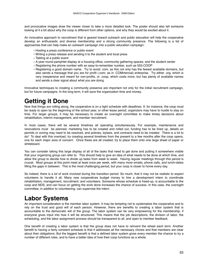and provocative images draw the viewer closer to take a more detailed look. The poster should also tell someone looking at it a bit about why the coop is different from other options, and why they would be excited about it.

An innovative approach to recruitment that is geared toward outreach and public education will help the cooperative develop an enthusiastic and diverse membership and a strong community presence. The following is a list of approaches that can help make an outreach campaign into a public education campaign:

- Hosting a press conference or public event
- Writing a press release and sending it to the student and local press
- Tabling at a public event
- A year-round pamphlet display at a housing office, community gathering spaces, and the student center
- Registering the phone number with an easy-to-remember number, such as 555-COOP
- Registering a good domain name. Try to avoid .com, as this not only has the fewest available domains, but also sends a message that you are for profit (.com, as in .COMmercial) enterprise. Try either .org, which is very inexpensive and meant for non-profits, or .coop, which costs more, but has plenty of available names and sends a clear signal about what you are doing

Innovative techniques to creating a community presence are important not only for the initial recruitment campaign, but for future campaigns. In the long term, it will save the organization time and money.

## **Getting it Done**

Now that things are rolling along, the cooperative is on a tight schedule with deadlines. If, for instance, the coop must be ready to open by the beginning of the school year, or other lease period, organizers may have to hustle to stay on time. For larger groups, it may be necessary to create an oversight committee to make timely decisions about rehabilitation, interim management, and member recruitment.

In most cases, there will be several timelines all operating simultaneously. For example, maintenance and renovations must be planned, marketing has to be created and rolled out, funding has to be lined up, details on permits or zoning may need to be resolved, and policies, bylaws, and contracts need to be created. There is a lot to do! To deal with this overload, try creating several timelines from the present to a few months after the coop opens, one for each major area of concern. Once these are all created, try to place them onto one large sheet of paper or whiteboard.

You can consider taking this large display of all of the tasks that need to get done and putting it somewhere visible that your organizing group can refer to. This should help to give an idea of what needs to be done at which time, and allow the group to decide how to divide up tasks from week to week. Having regular meetings through this period is crucial. Most groups at this point meet at least once per week, with many more emails, phone calls, and lunch-dates filling the gaps in between. This is the most challenging period, but your coop is closer to home every day.

So indeed, there is a lot of work involved during the transition period. So much, that it may not be realistic to expect volunteers to handle it all. Many new cooperatives budget money to hire a development intern to coordinate rehabilitation, management, recruitment, and volunteers. Someone whose schedule is freed-up, is accountable to the coop and NDS, and can focus on getting the work done increases the chance of success. In this case, the oversight committee, in addition to volunteering, can supervise the intern.

## **Labor Systems**

An important consideration is the member labor system. It may be tempting not to systematize the cooperative and to rely on the trust and good will of each person. However, there are benefits to creating a labor system that is accountable to the democratic will of the group. The labor system can be very empowering for the membership, if everyone gives input into how it will be structured. This means that the job descriptions, the division of labor, the scheduling, and the labor assignment process should be transparent to all, and open to member feedback.

One benefit of creating a labor system is that the group does not have to reinvent the wheel each term. Another benefit to having a fairly constant schedule is that it addresses all the necessary chores and that members are clear about their obligations. But the biggest benefit is that a defined labor system gives every member the chance to try a number of different roles, and to have a better idea of how their coop functions as a whole.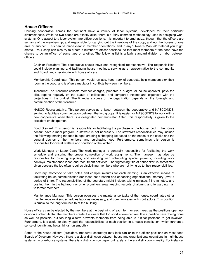#### **House Officers**

Housing cooperative across the continent have a variety of labor systems, developed for their particular circumstances. While no two coops are exactly alike, there is a fairly common methodology used in designing work systems. One aspect to a labor system are officer positions. It is important to emphasize, though, that the officers are servants of the membership, and responsible for carrying out the intentions of the coop, and not the bosses of one area or another. This can be made clear in member orientations, and in any "Owner's Manual" material you might create. Your coop can also try to create a number of officer positions, so that most members of the coop have the chance to be an officer of some type or another. The following list is a fairly standard division of labor between officers:

Chair or President: The cooperative should have one recognized representative. The responsibilities could include planning and facilitating house meetings, serving as a representative to the community and Board, and checking-in with house officers.

Membership Coordinator: This person would run ads, keep track of contracts, help members pick their room in the coop, and is often a mediator in conflicts between members.

Treasurer: The treasurer collects member charges, prepares a budget for house approval, pays the bills, reports regularly on the status of collections, and compares income and expenses with the projections in the budget. The financial success of the organization depends on the foresight and communication of the treasurer.

NASCO Representative: This person serves as a liaison between the cooperative and NASCO/NDS, serving to facilitate communication between the two groups. It is easier for NASCO/NDS to work with a new cooperative when there is a designated communicator. Often, this responsibility is given to the president or chairperson.

Food Steward: This person is responsible for facilitating the purchase of the house food. If the house doesn't have a meal program, a steward is not necessary. The steward's responsibilities may include the following: making the food budget, creating a shopping list based on the needs of the cooks and the general desires of the members, and purchasing food. Furthermore, sometimes this person is responsible for overall welfare and condition of the kitchen.

Work Manager or Labor Czar: The work manager is generally responsible for facilitating the work schedule and ensuring the proper completion of work assignments. The manager may also be responsible for ordering supplies, and assisting with scheduling special projects, including work holidays, maintenance labor, and recruitment activities. The frightening title of "labor czar" is sometimes given because the job often requires disciplining members who are not living up to their responsibilities.

Secretary: Someone to take notes and compile minutes for each meeting is an effective means of facilitating house communication (for those not present) and enhancing organizational memory (over a period of time). The responsibilities of the secretary might include: taking minutes, filing minutes, and posting them in the bathroom or other prominent area, keeping records of alumni, and forwarding mail to former members.

Maintenance Manager: This person oversees the maintenance tasks of the house, coordinates other maintenance workers, schedules labor as necessary, and communicates with contractors. This position is crucial to the long term health of the building.

House officers can be elected by the members at the beginning of each term or each year, as the positions open up, or upon a schedule that the members create. Be aware that too short a term can result in a position never being done as well as possible, but too long a term prevents members from being able to run for positions to get involved. Furthermore, it is useful to clearly spell the responsibilities of each position in a house constitution, which furthers a sense of identity and helps things run smoothly.

Some of the house officers (president, treasurer, secretary) may look similar to the officer positions on most coop Boards of Directors. However, there is a clear distinction between house and organizational operations in multi-house systems. In one-house systems, there is a distinction on paper but rarely is there a distinction in reality. For instance,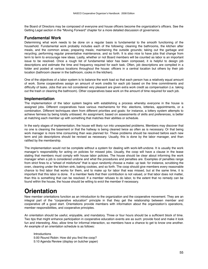the Board of Directors may be composed of everyone and house officers become the organization's officers. See the Getting Legal section in the "Moving Forward" chapter for a more detailed discussion of governance.

#### **Fundamental Work**

Determining what work needs to be done on a regular basis is fundamental to the smooth functioning of the household. Fundamental work probably includes each of the following: cleaning the bathrooms, the kitchen after meals, and the common areas; preparing meals; maintaining the outside grounds; taking out the garbage and recycling; performing regular preventative maintenance, and so forth. It is also nice to have jobs that change from term to term to encourage new ideas. Lastly, whether or not Board members will be counted as labor is an important issue to be resolved. Once a rough list of fundamental labor has been composed, it is helpful to design job descriptions and estimate the time and frequency required for each task. Often, job descriptions are compiled in a folder and posted at various locations throughout the house: officers in a central location but others by their job location (bathroom cleaner in the bathroom, cooks in the kitchen).

One of the objectives of a labor system is to balance the work load so that each person has a relatively equal amount of work. Some cooperatives assign an amount of work credits for each job based on the time commitments and difficulty of tasks. Jobs that are not considered very pleasant are given extra work credit as compensation (i.e. taking out the trash or cleaning the bathroom). Other cooperatives base work on the amount of time required for each job.

#### **Implementation**

The implementation of the labor system begins with establishing a process whereby everyone in the house is assigned jobs. Different cooperatives have various mechanisms for this: elections, lotteries, appointments, or a combination. Different techniques stem from different priorities and goals: for instance, a lottery system attempts to achieve fairness by being totally unbiased. An assignment, based on assessments of skills and preferences, is better at matching each member up with something that matches their abilities or schedule.

In the early stages of implementation, the house will likely run into unexpected problems. Members may discover that no one is cleaning the basement or that the hallway is being cleaned twice as often as is necessary. Or that being work manager is more time consuming than was planned for. These problems should be resolved before each new term and job descriptions should be revised as necessary. Usually, this is done by the labor manager, and than ratified by the membership.

The implementation would not be complete without a system for dealing with work-left-undone. It is usually the work manager's responsibility for acting on policies for missed jobs. Usually, the coop will have a clause in the lease stating that members must comply with house labor policies. The house should be clear about informing the work manager when a job is considered undone and what the procedures and penalties are. Examples of penalties range from strict fines to a "wheel of misfortune" that is spun randomly choose a make- up task: for instance, scrubbing the oven, cleaning under the kitchen sink, baking cookies, and so forth. The coop should give members every reasonable chance to find labor that works for them, and to make up for labor that was missed, but at the same time, it is important that this labor is done. If a member feels that their contribution is not valued, or that labor does not matter, than this is something that can be resolved. If a member refuses to do labor, to the extent that no remedy can be found within the house, the house should be willing to evict the member if necessary.

## **Orientation**

New member orientations function as an introduction to the organization and the cooperative movement. They are an integral part of the "cooperative education" principle in that they get the relationship between member and cooperative off a good start. Orientations provide members with information about the organization's operations, member responsibilities, and cooperative principles.

An orientation should be useful, enjoyable, and mandatory. Three or four hours should be a sufficient block of time. Two tips that might enhance participation in cooperative education events are as such: provide food and make it look fun and interesting. Also, allow time for informal interaction, so members have a chance to get to know one another. An example of an orientation schedule is as follows:

Introductions 5:00 Round Robin: How did you find the coop? 5:10 Agenda Review (display on butcher paper)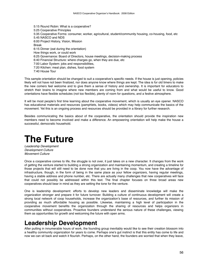5:15 Round Robin: What is a cooperative? 5:25 Cooperative Principles 5:35 Cooperative Forms: consumer, worker, agricultural, student/community housing, co-housing, food, etc 5.45 NASCO and NDS 6:00 Project History, Vision, Mission Break 6:15 Dinner (eat during the orientation) How things work, or could work 6:25 Governance: Board of Directors, house meetings, decision-making process 6:40 Financial Structure: where charges go, when they are due, etc 7:00 Labor System: jobs and responsibilities, 7:20 Kitchen: meal plan, dishes, food system 7:40 House Tour

This sample orientation should be changed to suit a cooperative's specific needs. If the house is just opening, policies likely will not have not been finalized, nor does anyone know where things are kept. The idea is for old timers to make the new comers feel welcome and to give them a sense of history and ownership. It is important for educators to stretch their brains to imagine where new members are coming from and what would be useful to know. Good orientations have flexible schedules (not too flexible), plenty of room for questions, and a festive atmosphere.

It will be most people's first time learning about the cooperative movement, which is usually an eye opener. NASCO has educational materials and resources (pamphlets, books, videos) which may help communicate the basics of the movement. Yet this is an ongoing process and resources should be provided in a library for further research.

Besides communicating the basics about of the cooperative, the orientation should provide the inspiration new members need to become involved and make a difference. An empowering orientation will help make the house a successful, democratic household.

# **The Future**

*Leadership Development Development Culture Movement Culture* 

Once a cooperative comes to life, the struggle is not over, it just takes on a new character. It changes from the work of getting the venture started to building a strong organization and maintaining momentum, and creating a timeline for those projects that will still need to be done now that you are living in the coop. You now have the advantage of infrastructure, though, in the form of being in the same place as your fellow organizers, having regular meetings, having a stable address and phone number, etc. There are actually many challenges that new cooperatives will face that could not possibly be addressed within this text. The final chapter focuses on three broad areas new cooperatives should bear in mind as they are setting the tone for the venture.

One is leadership development: efforts to develop new leaders and disseminate knowledge will make the organization stronger and prepare it for future turnover. Building a culture of continuous development will create a strong local network of coop households, increase the organization's base of resources, and further its mission of providing as much affordable housing as possible. Likewise, maintaining a high level of participation in the cooperative movement benefits the organization through the sharing of resources and helps organizers in communities without cooperatives. Proactive founders understand the serious nature of these challenges, viewing them as opportunities for growth and welcoming the future with open arms.

## **Leadership Development**

After putting in innumerable hours of work, the founding group inevitably would like to see their creation blossom into a healthy community organization for years to come. Perhaps one's gut instinct is that this entity has come to life and now we can sit back and watch it flourish. Perhaps, on the other hand, the founders are worried that when they leave,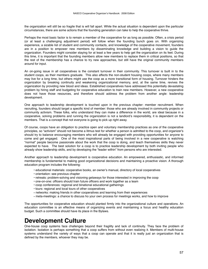the organization will still be so fragile that is will fall apart. While the actual situation is dependent upon the particular circumstances, there are some actions that the founding generation can take to help the cooperative thrive.

Perhaps the most basic factor is to remain a member of the cooperative for as long as possible. Often, a crisis period (or at least a challenging adjustment period) will follow when the founding bunch goes on. With organizing experience, a sizable list of student and community contacts, and knowledge of the cooperative movement, founders are in a position to empower new members by disseminating knowledge and building a vision to guide the organization. Founders might consider staying for at least a few years to help get the organization on its feet. During this time, it is important that the founding members allow new members to replace them in critical positions, so that the rest of the membership has a chance to try new approaches, but still have the original community members around for input.

An on-going issue in all cooperatives is the constant turnover in their community. This turnover is built in to the student coops, as their members graduate. This also affects the non-student housing coops, where many members may live for a long time, but others might use the coop as a more transitional form of housing. Turnover hinders the organization by breaking continuity and weakening organizational memory, and, at the same time, revives the organization by providing new blood and ideas. Established cooperatives have addressed this potentially devastating problem by hiring staff and budgeting for cooperative education to train new members. However, a new cooperative does not have those resources, and therefore should address the problem from another angle: leadership development.

One approach to leadership development is touched upon in the previous chapter: member recruitment. When recruiting, founders should target a specific kind of member: those who are already involved in community projects or community activism. These folks, who understand they can make a difference in the world, are ideal because in a cooperative, solving problems and running the organization is not a landlord's responsibility, it is dependent on the members. That is a concept that not everyone is going to pick up right away.

Of course, coops have an obligation to practice open and voluntary membership practices as one of the cooperative principles, so "activism" should not become a litmus test for whether a person is admitted to the coop, and organizer's should try to balance encouraging members who will already be engaged with providing opportunities for anyone to come and get engaged. One of the most inspirational parts of being involved in a new cooperative is watching "normal" people become passionate about the work that the coop is doing, and teach themselves skills they never expected to have. The best solution for a coop is to practice leadership development by both inviting people who already show leadership skills, and by developing the "leader within" from persons who are interested.

Another approach to leadership development is cooperative education. An empowered, enthusiastic, and informed membership is fundamental to making good organizational decisions and maintaining a proactive vision. A thorough education program includes the following:

- educational materials: cooperative books, an owner's manual, directory of local cooperatives
- orientation: see previous chapter
- retreats: problem-solving and visioning getaways for those interested in improving the coop
- one-on-one: officers should train future officers and work together as a team
- coop conferences: regional and binational educational gatherings
- tours: regional and local tours of other cooperatives
- networks: making friends in other cooperatives and learning from their experiences
- meta-meetings: a chance to discuss ho your own process for meetings works, and how to improve

The opportunities for cooperative education should planted firmly into the organizational culture and operations. An education committee is an effective means of organizing events and maintaining a focus and healthy education budget. Such a committee should have its place in the Bylaws.

### **Development Culture**

One-house coop systems face challenges beyond their fragility and lack of continuity. They face the problem of isolation. Isolation is perhaps something that a coop suffers from without even realizing it. Members of multi-house systems understand the variety of ways that a coop can operate and that it is really just an organization that is defined by the members, whoever they may be.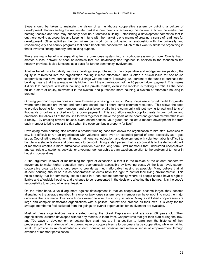Steps should be taken to maintain the vision of a multi-house cooperative system by building a culture of development. Understanding the real estate market is one means of achieving this culture: at times the market has nothing feasible and then may suddenly offer up a fantastic building. Establishing a development committee that is out there looking at properties and keeping in tune with the market is one means of creating a sense of readiness for development. Other activities the committee can work on is cultivating a relationship with the university and researching city and county programs that could benefit the cooperative. Much of this work is similar to organizing in that it involves finding property and building support.

There are many benefits of expanding from a one-house system into a two-house system or more. One is that it creates a local network of coop households that are inextricably tied together. In addition to the friendships the network provides, it also functions as a basis for further community involvement.

Another benefit is affordability: as more buildings are purchased by the cooperative and mortgages are paid-off, the equity is reinvested into the organization making it more affordable. This is often a crucial issue for one-house cooperatives that have purchased their buildings with no equity. Borrowing 100 percent of the funds to purchase the building means that the average rent is higher than if the organization had the 20 percent down payment. This makes it difficult to compete with other housing in the private market, even if the landlord is making a profit. As the coop builds a store of equity, reinvests it in the system, and purchases more housing, a system of affordable housing is created.

Growing your coop system does not have to mean purchasing buildings. Many coops use a hybrid model for growth, where some houses are owned and some are leased, but all share some common resources. This allows the coop to provide housing for more members, and get a larger profile in the community without having to wait until tens of thousands of dollars are piled up for a down payment. This also allows each coop to create its own culture and emphasis, but allows all of the houses to work together to make the goals at the board and general membership level a reality. By creating several houses, even leased houses, your group can collect a modest development fee from each member to bring closer the day when the coop can buy a property for itself.

Developing more housing also creates a broader funding base that allows the organization to hire staff. Needless to say, it is difficult to run an organization with volunteer labor over an extended period of time, especially as it gets larger. Coordinating recruitment, finance, maintenance, education, and development with volunteer labor is difficult to handle in a stable fashion and often leads to burnout. Hiring a staff person that is accountable to the democratic will of members creates a more sustainable situation over the long term. Staff members that understand cooperatives and can relate to students, activists, or a younger demographic are an excellent solution to the problem of turnover in housing cooperatives.

A final argument in favor of maintaining the spirit of expansion is that it is the mission of the student cooperative movement to make higher education more economically accessible by lowering costs. At the local level, student cooperative organizations should seek to provide as much affordable housing as possible. Many believe that all student housing should be run as cooperatives: students have the right to control their living environments! This holds equally true for community coops based in a non-student community, where all people should have a right to livable and affordable housing, and a chance to be represented in the decisions affecting their homes. It is the coop's responsibility to expand whenever feasible.

On the other hand, a valid argument against development is that as cooperatives become larger, they become alienating to the average member. In a one- or two-house system, every member can have input into most the major decisions that are made. Everyone knows everyone else. It's a cozy situation. Many established cooperatives are large and complex democratic organizations with a political context and process all their own. It is easy for the average member to feel excluded from the goings-on even if opportunities for involvement are available.

Most of these organizations were created during the Great Depression and are over 60 years old. Their organizational cultures developed without any models to learn from. Cooperatives that got their start during the 1960 and 70s wave of development or getting their start now are in a position to learn from the histories of their predecessors. The challenge of the current wave of cooperatives is to become a large cooperative, while remaining small: to provide as much affordable student housing as possible and retain a sense of empowerment through avenues of member participation.